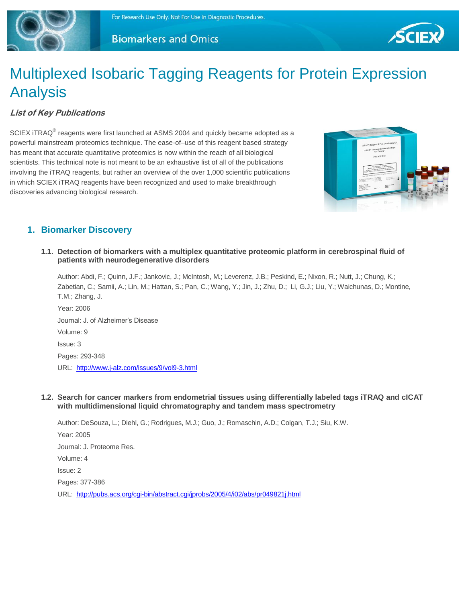

**Biomarkers and Omics** 



# Multiplexed Isobaric Tagging Reagents for Protein Expression Analysis

### **List of Key Publications**

SCIEX iTRAQ $^{\circ}$  reagents were first launched at ASMS 2004 and quickly became adopted as a powerful mainstream proteomics technique. The ease-of–use of this reagent based strategy has meant that accurate quantitative proteomics is now within the reach of all biological scientists. This technical note is not meant to be an exhaustive list of all of the publications involving the iTRAQ reagents, but rather an overview of the over 1,000 scientific publications in which SCIEX iTRAQ reagents have been recognized and used to make breakthrough discoveries advancing biological research.



### **1. Biomarker Discovery**

#### **1.1. Detection of biomarkers with a multiplex quantitative proteomic platform in cerebrospinal fluid of patients with neurodegenerative disorders**

Author: Abdi, F.; Quinn, J.F.; Jankovic, J.; McIntosh, M.; Leverenz, J.B.; Peskind, E.; Nixon, R.; Nutt, J.; Chung, K.; Zabetian, C.; Samii, A.; Lin, M.; Hattan, S.; Pan, C.; Wang, Y.; Jin, J.; Zhu, D.; Li, G.J.; Liu, Y.; Waichunas, D.; Montine, T.M.; Zhang, J.

Year: 2006 Journal: J. of Alzheimer's Disease Volume: 9 Issue: 3 Pages: 293-348 URL:<http://www.j-alz.com/issues/9/vol9-3.html>

#### **1.2. Search for cancer markers from endometrial tissues using differentially labeled tags iTRAQ and cICAT with multidimensional liquid chromatography and tandem mass spectrometry**

Author: DeSouza, L.; Diehl, G.; Rodrigues, M.J.; Guo, J.; Romaschin, A.D.; Colgan, T.J.; Siu, K.W.

Year: 2005 Journal: J. Proteome Res. Volume: 4

Issue: 2

Pages: 377-386

URL:<http://pubs.acs.org/cgi-bin/abstract.cgi/jprobs/2005/4/i02/abs/pr049821j.html>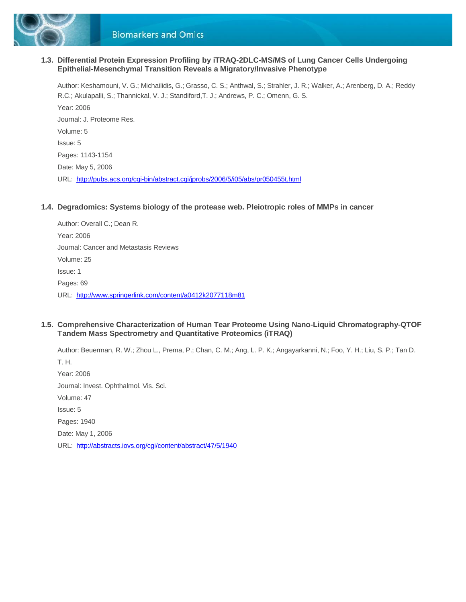

#### **1.3. Differential Protein Expression Profiling by iTRAQ-2DLC-MS/MS of Lung Cancer Cells Undergoing Epithelial-Mesenchymal Transition Reveals a Migratory/Invasive Phenotype**

Author: Keshamouni, V. G.; Michailidis, G.; Grasso, C. S.; Anthwal, S.; Strahler, J. R.; Walker, A.; Arenberg, D. A.; Reddy R.C.; Akulapalli, S.; Thannickal, V. J.; Standiford,T. J.; Andrews, P. C.; Omenn, G. S. Year: 2006 Journal: J. Proteome Res. Volume: 5 Issue: 5 Pages: 1143-1154 Date: May 5, 2006 URL:<http://pubs.acs.org/cgi-bin/abstract.cgi/jprobs/2006/5/i05/abs/pr050455t.html>

#### **1.4. Degradomics: Systems biology of the protease web. Pleiotropic roles of MMPs in cancer**

Author: Overall C.; Dean R. Year: 2006 Journal: Cancer and Metastasis Reviews Volume: 25 Issue: 1 Pages: 69 URL:<http://www.springerlink.com/content/a0412k2077118m81>

#### **1.5. Comprehensive Characterization of Human Tear Proteome Using Nano-Liquid Chromatography-QTOF Tandem Mass Spectrometry and Quantitative Proteomics (iTRAQ)**

Author: Beuerman, R. W.; Zhou L., Prema, P.; Chan, C. M.; Ang, L. P. K.; Angayarkanni, N.; Foo, Y. H.; Liu, S. P.; Tan D. T. H. Year: 2006 Journal: Invest. Ophthalmol. Vis. Sci. Volume: 47 Issue: 5 Pages: 1940 Date: May 1, 2006 URL:<http://abstracts.iovs.org/cgi/content/abstract/47/5/1940>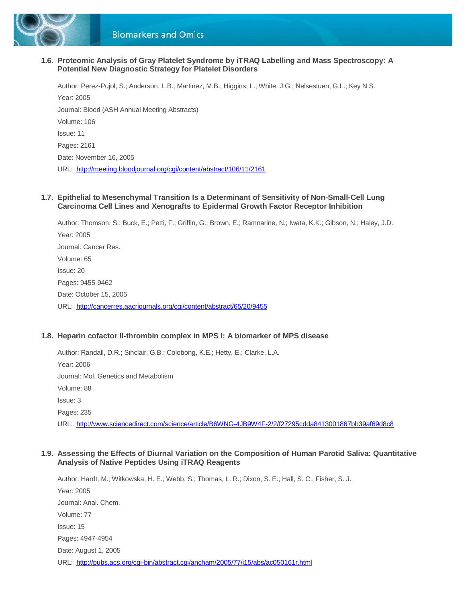

**1.6. Proteomic Analysis of Gray Platelet Syndrome by iTRAQ Labelling and Mass Spectroscopy: A Potential New Diagnostic Strategy for Platelet Disorders**

Author: Perez-Pujol, S.; Anderson, L.B.; Martinez, M.B.; Higgins, L.; White, J.G.; Nelsestuen, G.L.; Key N.S. Year: 2005 Journal: Blood (ASH Annual Meeting Abstracts) Volume: 106 Issue: 11 Pages: 2161 Date: November 16, 2005 URL:<http://meeting.bloodjournal.org/cgi/content/abstract/106/11/2161>

#### **1.7. Epithelial to Mesenchymal Transition Is a Determinant of Sensitivity of Non-Small-Cell Lung Carcinoma Cell Lines and Xenografts to Epidermal Growth Factor Receptor Inhibition**

Author: Thomson, S.; Buck, E.; Petti, F.; Griffin, G.; Brown, E.; Ramnarine, N.; Iwata, K.K.; Gibson, N.; Haley, J.D. Year: 2005 Journal: Cancer Res. Volume: 65 Issue: 20 Pages: 9455-9462 Date: October 15, 2005 URL:<http://cancerres.aacrjournals.org/cgi/content/abstract/65/20/9455>

#### **1.8. Heparin cofactor II-thrombin complex in MPS I: A biomarker of MPS disease**

Author: Randall, D.R.; Sinclair, G.B.; Colobong, K.E.; Hetty, E.; Clarke, L.A. Year: 2006 Journal: Mol. Genetics and Metabolism Volume: 88 Issue: 3 Pages: 235 URL:<http://www.sciencedirect.com/science/article/B6WNG-4JB9W4F-2/2/f27295cdda8413001867bb39af69d8c8>

#### **1.9. Assessing the Effects of Diurnal Variation on the Composition of Human Parotid Saliva: Quantitative Analysis of Native Peptides Using iTRAQ Reagents**

Author: Hardt, M.; Witkowska, H. E.; Webb, S.; Thomas, L. R.; Dixon, S. E.; Hall, S. C.; Fisher, S. J. Year: 2005 Journal: Anal. Chem. Volume: 77 Issue: 15 Pages: 4947-4954 Date: August 1, 2005 URL:<http://pubs.acs.org/cgi-bin/abstract.cgi/ancham/2005/77/i15/abs/ac050161r.html>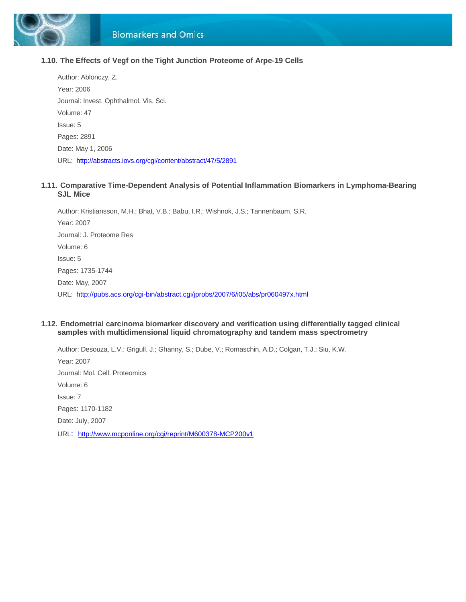

#### **1.10. The Effects of Vegf on the Tight Junction Proteome of Arpe-19 Cells**

Author: Ablonczy, Z. Year: 2006 Journal: Invest. Ophthalmol. Vis. Sci. Volume: 47 Issue: 5 Pages: 2891 Date: May 1, 2006 URL:<http://abstracts.iovs.org/cgi/content/abstract/47/5/2891>

#### **1.11. Comparative Time-Dependent Analysis of Potential Inflammation Biomarkers in Lymphoma-Bearing SJL Mice**

Author: Kristiansson, M.H.; Bhat, V.B.; Babu, I.R.; Wishnok, J.S.; Tannenbaum, S.R. Year: 2007 Journal: J. Proteome Res Volume: 6 Issue: 5 Pages: 1735-1744 Date: May, 2007 URL:<http://pubs.acs.org/cgi-bin/abstract.cgi/jprobs/2007/6/i05/abs/pr060497x.html>

#### **1.12. Endometrial carcinoma biomarker discovery and verification using differentially tagged clinical samples with multidimensional liquid chromatography and tandem mass spectrometry**

Author: Desouza, L.V.; Grigull, J.; Ghanny, S.; Dube, V.; Romaschin, A.D.; Colgan, T.J.; Siu, K.W. Year: 2007 Journal: Mol. Cell. Proteomics Volume: 6 Issue: 7 Pages: 1170-1182 Date: July, 2007 URL: <http://www.mcponline.org/cgi/reprint/M600378-MCP200v1>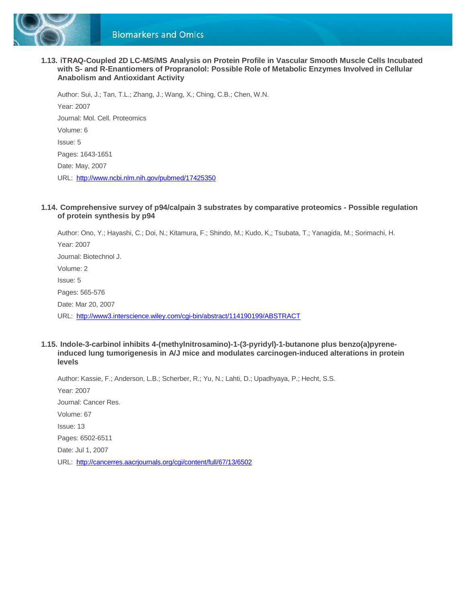

#### **1.13. iTRAQ-Coupled 2D LC-MS/MS Analysis on Protein Profile in Vascular Smooth Muscle Cells Incubated with S- and R-Enantiomers of Propranolol: Possible Role of Metabolic Enzymes Involved in Cellular Anabolism and Antioxidant Activity**

Author: Sui, J.; Tan, T.L.; Zhang, J.; Wang, X.; Ching, C.B.; Chen, W.N. Year: 2007 Journal: Mol. Cell. Proteomics Volume: 6 Issue: 5 Pages: 1643-1651 Date: May, 2007 URL:<http://www.ncbi.nlm.nih.gov/pubmed/17425350>

#### **1.14. Comprehensive survey of p94/calpain 3 substrates by comparative proteomics - Possible regulation of protein synthesis by p94**

Author: Ono, Y.; Hayashi, C.; Doi, N.; Kitamura, F.; Shindo, M.; Kudo, K,; Tsubata, T.; Yanagida, M.; Sorimachi, H. Year: 2007 Journal: Biotechnol J. Volume: 2 Issue: 5 Pages: 565-576 Date: Mar 20, 2007 URL:<http://www3.interscience.wiley.com/cgi-bin/abstract/114190199/ABSTRACT>

#### **1.15. Indole-3-carbinol inhibits 4-(methylnitrosamino)-1-(3-pyridyl)-1-butanone plus benzo(a)pyreneinduced lung tumorigenesis in A/J mice and modulates carcinogen-induced alterations in protein levels**

Author: Kassie, F.; Anderson, L.B.; Scherber, R.; Yu, N.; Lahti, D.; Upadhyaya, P.; Hecht, S.S. Year: 2007 Journal: Cancer Res. Volume: 67 Issue: 13 Pages: 6502-6511 Date: Jul 1, 2007 URL:<http://cancerres.aacrjournals.org/cgi/content/full/67/13/6502>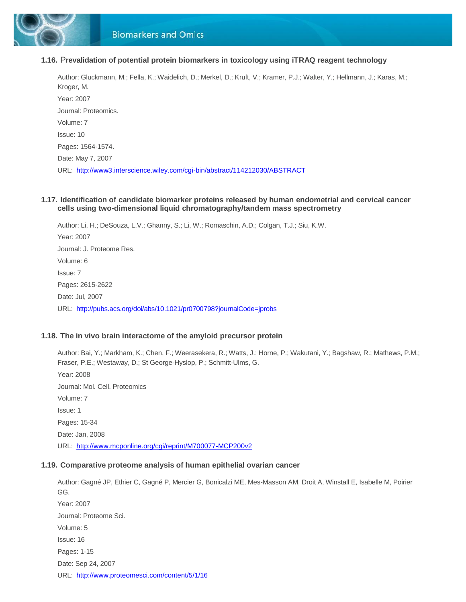

#### **[1.16.](http://cancerres.aacrjournals.org/cgi/content/full/67/13/6502)** P**revalidation of potential protein biomarkers in toxicology using iTRAQ reagent technology**

Author: Gluckmann, M.; Fella, K.; Waidelich, D.; Merkel, D.; Kruft, V.; Kramer, P.J.; Walter, Y.; Hellmann, J.; Karas, M.; Kroger, M. Year: 2007 Journal: Proteomics. Volume: 7 Issue: 10 Pages: 1564-1574. Date: May 7, 2007 URL:<http://www3.interscience.wiley.com/cgi-bin/abstract/114212030/ABSTRACT>

#### **1.17. Identification of candidate biomarker proteins released by human endometrial and cervical cancer cells using two-dimensional liquid chromatography/tandem mass spectrometry**

Author: Li, H.; DeSouza, L.V.; Ghanny, S.; Li, W.; Romaschin, A.D.; Colgan, T.J.; Siu, K.W. Year: 2007 Journal: J. Proteome Res. Volume: 6 Issue: 7 Pages: 2615-2622 Date: Jul, 2007 URL:<http://pubs.acs.org/doi/abs/10.1021/pr0700798?journalCode=jprobs>

#### **1.18. The in vivo brain interactome of the amyloid precursor protein**

Author: Bai, Y.; Markham, K.; Chen, F.; Weerasekera, R.; Watts, J.; Horne, P.; Wakutani, Y.; Bagshaw, R.; Mathews, P.M.; Fraser, P.E.; Westaway, D.; St George-Hyslop, P.; Schmitt-Ulms, G. Year: 2008 Journal: Mol. Cell. Proteomics Volume: 7 Issue: 1 Pages: 15-34 Date: Jan, 2008 URL:<http://www.mcponline.org/cgi/reprint/M700077-MCP200v2>

#### **1.19. Comparative proteome analysis of human epithelial ovarian cancer**

Author: Gagné JP, Ethier C, Gagné P, Mercier G, Bonicalzi ME, Mes-Masson AM, Droit A, Winstall E, Isabelle M, Poirier GG. Year: 2007 Journal: Proteome Sci. Volume: 5 Issue: 16 Pages: 1-15 Date: Sep 24, 2007 URL:<http://www.proteomesci.com/content/5/1/16>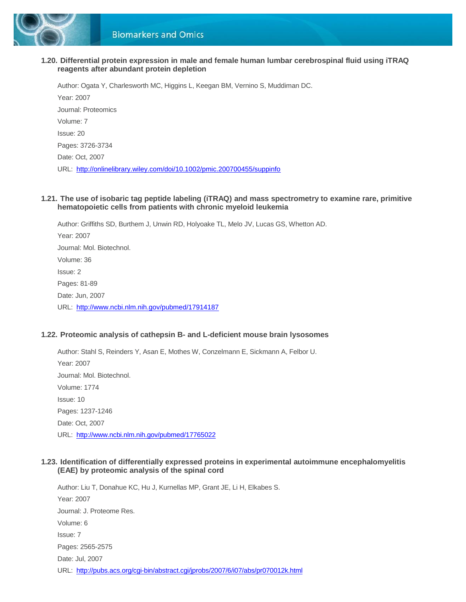

#### **1.20. Differential protein expression in male and female human lumbar cerebrospinal fluid using iTRAQ reagents after abundant protein depletion**

Author: Ogata Y, Charlesworth MC, Higgins L, Keegan BM, Vernino S, Muddiman DC. Year: 2007 Journal: Proteomics Volume: 7 Issue: 20 Pages: 3726-3734 Date: Oct, 2007 URL:<http://onlinelibrary.wiley.com/doi/10.1002/pmic.200700455/suppinfo>

#### **1.21. The use of isobaric tag peptide labeling (iTRAQ) and mass spectrometry to examine rare, primitive hematopoietic cells from patients with chronic myeloid leukemia**

Author: Griffiths SD, Burthem J, Unwin RD, Holyoake TL, Melo JV, Lucas GS, Whetton AD.

Year: 2007 Journal: Mol. Biotechnol. Volume: 36 Issue: 2 Pages: 81-89 Date: Jun, 2007 URL: <http://www.ncbi.nlm.nih.gov/pubmed/17914187>

#### **1.22. Proteomic analysis of cathepsin B- and L-deficient mouse brain lysosomes**

Author: Stahl S, Reinders Y, Asan E, Mothes W, Conzelmann E, Sickmann A, Felbor U. Year: 2007 Journal: Mol. Biotechnol. Volume: 1774 Issue: 10 Pages: 1237-1246 Date: Oct, 2007 URL:<http://www.ncbi.nlm.nih.gov/pubmed/17765022>

#### **1.23. Identification of differentially expressed proteins in experimental autoimmune encephalomyelitis (EAE) by proteomic analysis of the spinal cord**

Author: Liu T, Donahue KC, Hu J, Kurnellas MP, Grant JE, Li H, Elkabes S. Year: 2007 Journal: J. Proteome Res. Volume: 6 Issue: 7 Pages: 2565-2575 Date: Jul, 2007 URL:<http://pubs.acs.org/cgi-bin/abstract.cgi/jprobs/2007/6/i07/abs/pr070012k.html>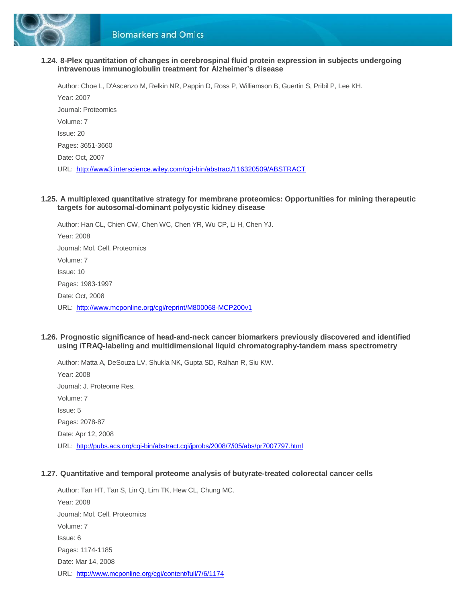

**1.24. 8-Plex quantitation of changes in cerebrospinal fluid protein expression in subjects undergoing intravenous immunoglobulin treatment for Alzheimer's disease**

Author: Choe L, D'Ascenzo M, Relkin NR, Pappin D, Ross P, Williamson B, Guertin S, Pribil P, Lee KH. Year: 2007 Journal: Proteomics Volume: 7 Issue: 20 Pages: 3651-3660 Date: Oct, 2007 URL:<http://www3.interscience.wiley.com/cgi-bin/abstract/116320509/ABSTRACT>

#### **1.25. A multiplexed quantitative strategy for membrane proteomics: Opportunities for mining therapeutic targets for autosomal-dominant polycystic kidney disease**

Author: Han CL, Chien CW, Chen WC, Chen YR, Wu CP, Li H, Chen YJ. Year: 2008 Journal: Mol. Cell. Proteomics Volume: 7 Issue: 10 Pages: 1983-1997 Date: Oct, 2008 URL:<http://www.mcponline.org/cgi/reprint/M800068-MCP200v1>

#### **1.26. Prognostic significance of head-and-neck cancer biomarkers previously discovered and identified using iTRAQ-labeling and multidimensional liquid chromatography-tandem mass spectrometry**

Author: Matta A, DeSouza LV, Shukla NK, Gupta SD, Ralhan R, Siu KW. Year: 2008 Journal: J. Proteome Res. Volume: 7 Issue: 5 Pages: 2078-87 Date: Apr 12, 2008 URL:<http://pubs.acs.org/cgi-bin/abstract.cgi/jprobs/2008/7/i05/abs/pr7007797.html>

#### **1.27. Quantitative and temporal proteome analysis of butyrate-treated colorectal cancer cells**

Author: Tan HT, Tan S, Lin Q, Lim TK, Hew CL, Chung MC. Year: 2008 Journal: Mol. Cell. Proteomics Volume: 7 Issue: 6 Pages: 1174-1185 Date: Mar 14, 2008 URL:<http://www.mcponline.org/cgi/content/full/7/6/1174>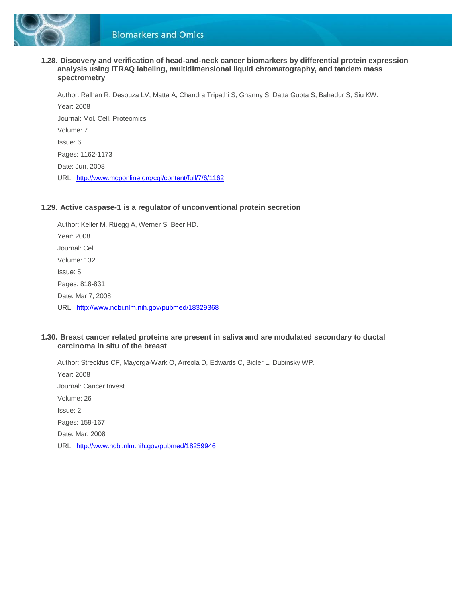

#### **1.28. Discovery and verification of head-and-neck cancer biomarkers by differential protein expression analysis using iTRAQ labeling, multidimensional liquid chromatography, and tandem mass spectrometry**

Author: Ralhan R, Desouza LV, Matta A, Chandra Tripathi S, Ghanny S, Datta Gupta S, Bahadur S, Siu KW. Year: 2008 Journal: Mol. Cell. Proteomics Volume: 7 Issue: 6 Pages: 1162-1173 Date: Jun, 2008 URL:<http://www.mcponline.org/cgi/content/full/7/6/1162>

#### **1.29. Active caspase-1 is a regulator of unconventional protein secretion**

Author: Keller M, Rüegg A, Werner S, Beer HD. Year: 2008 Journal: Cell Volume: 132 Issue: 5 Pages: 818-831 Date: Mar 7, 2008 URL:<http://www.ncbi.nlm.nih.gov/pubmed/18329368>

#### **1.30. Breast cancer related proteins are present in saliva and are modulated secondary to ductal carcinoma in situ of the breast**

Author: Streckfus CF, Mayorga-Wark O, Arreola D, Edwards C, Bigler L, Dubinsky WP. Year: 2008 Journal: Cancer Invest. Volume: 26 Issue: 2 Pages: 159-167 Date: Mar, 2008 URL:<http://www.ncbi.nlm.nih.gov/pubmed/18259946>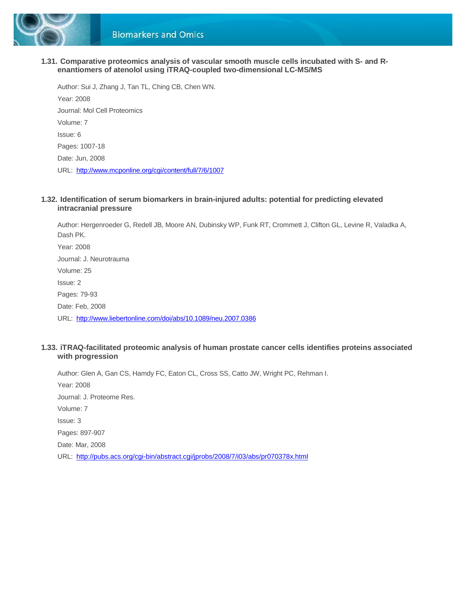

**1.31. Comparative proteomics analysis of vascular smooth muscle cells incubated with S- and Renantiomers of atenolol using iTRAQ-coupled two-dimensional LC-MS/MS**

Author: Sui J, Zhang J, Tan TL, Ching CB, Chen WN. Year: 2008 Journal: Mol Cell Proteomics Volume: 7 Issue: 6 Pages: 1007-18 Date: Jun, 2008 URL: <http://www.mcponline.org/cgi/content/full/7/6/1007>

#### **1.32. Identification of serum biomarkers in brain-injured adults: potential for predicting elevated intracranial pressure**

Author: Hergenroeder G, Redell JB, Moore AN, Dubinsky WP, Funk RT, Crommett J, Clifton GL, Levine R, Valadka A, Dash PK. Year: 2008 Journal: J. Neurotrauma Volume: 25 Issue: 2 Pages: 79-93 Date: Feb, 2008 URL: <http://www.liebertonline.com/doi/abs/10.1089/neu.2007.0386>

#### **1.33. iTRAQ-facilitated proteomic analysis of human prostate cancer cells identifies proteins associated with progression**

Author: Glen A, Gan CS, Hamdy FC, Eaton CL, Cross SS, Catto JW, Wright PC, Rehman I.

Year: 2008 Journal: J. Proteome Res.

Volume: 7

Issue: 3 Pages: 897-907

Date: Mar, 2008

URL:<http://pubs.acs.org/cgi-bin/abstract.cgi/jprobs/2008/7/i03/abs/pr070378x.html>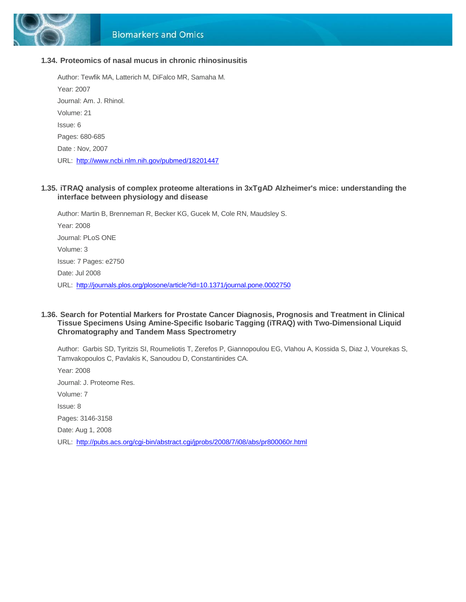

#### **1.34. Proteomics of nasal mucus in chronic rhinosinusitis**

Author: Tewfik MA, Latterich M, DiFalco MR, Samaha M. Year: 2007 Journal: Am. J. Rhinol. Volume: 21 Issue: 6 Pages: 680-685 Date : Nov, 2007 URL:<http://www.ncbi.nlm.nih.gov/pubmed/18201447>

#### **1.35. iTRAQ analysis of complex proteome alterations in 3xTgAD Alzheimer's mice: understanding the interface between physiology and disease**

Author: Martin B, Brenneman R, Becker KG, Gucek M, Cole RN, Maudsley S. Year: 2008 Journal: PLoS ONE Volume: 3 Issue: 7 Pages: e2750 Date: Jul 2008 URL:<http://journals.plos.org/plosone/article?id=10.1371/journal.pone.0002750>

#### **1.36. Search for Potential Markers for Prostate Cancer Diagnosis, Prognosis and Treatment in Clinical Tissue Specimens Using Amine-Specific Isobaric Tagging (iTRAQ) with Two-Dimensional Liquid Chromatography and Tandem Mass Spectrometry**

Author: Garbis SD, Tyritzis SI, Roumeliotis T, Zerefos P, Giannopoulou EG, Vlahou A, Kossida S, Diaz J, Vourekas S, Tamvakopoulos C, Pavlakis K, Sanoudou D, Constantinides CA.

Year: 2008 Journal: J. Proteome Res. Volume: 7 Issue: 8 Pages: 3146-3158 Date: Aug 1, 2008 URL:<http://pubs.acs.org/cgi-bin/abstract.cgi/jprobs/2008/7/i08/abs/pr800060r.html>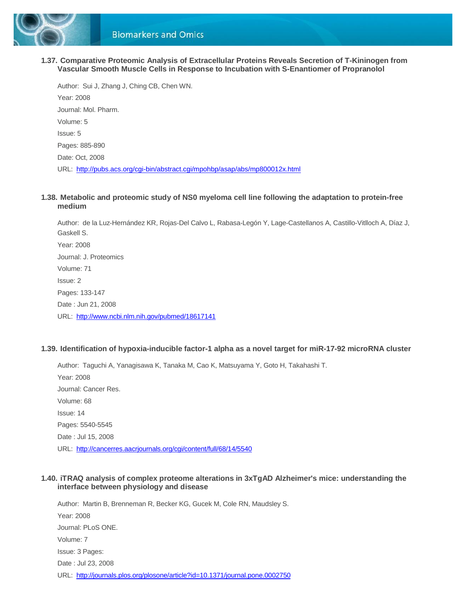

**1.37. Comparative Proteomic Analysis of Extracellular Proteins Reveals Secretion of T-Kininogen from Vascular Smooth Muscle Cells in Response to Incubation with S-Enantiomer of Propranolol**

Author: Sui J, Zhang J, Ching CB, Chen WN. Year: 2008 Journal: Mol. Pharm. Volume: 5 Issue: 5 Pages: 885-890 Date: Oct, 2008 URL:<http://pubs.acs.org/cgi-bin/abstract.cgi/mpohbp/asap/abs/mp800012x.html>

#### **1.38. Metabolic and proteomic study of NS0 myeloma cell line following the adaptation to protein-free medium**

Author: de la Luz-Hernández KR, Rojas-Del Calvo L, Rabasa-Legón Y, Lage-Castellanos A, Castillo-Vitlloch A, Díaz J, Gaskell S. Year: 2008 Journal: J. Proteomics Volume: 71 Issue: 2 Pages: 133-147 Date : Jun 21, 2008 URL:<http://www.ncbi.nlm.nih.gov/pubmed/18617141>

#### **1.39. Identification of hypoxia-inducible factor-1 alpha as a novel target for miR-17-92 microRNA cluster**

Author: Taguchi A, Yanagisawa K, Tanaka M, Cao K, Matsuyama Y, Goto H, Takahashi T. Year: 2008 Journal: Cancer Res. Volume: 68 Issue: 14 Pages: 5540-5545 Date : Jul 15, 2008 URL: <http://cancerres.aacrjournals.org/cgi/content/full/68/14/5540>

#### **1.40. iTRAQ analysis of complex proteome alterations in 3xTgAD Alzheimer's mice: understanding the interface between physiology and disease**

Author: Martin B, Brenneman R, Becker KG, Gucek M, Cole RN, Maudsley S. Year: 2008 Journal: PLoS ONE. Volume: 7 Issue: 3 Pages: Date : Jul 23, 2008 URL: <http://journals.plos.org/plosone/article?id=10.1371/journal.pone.0002750>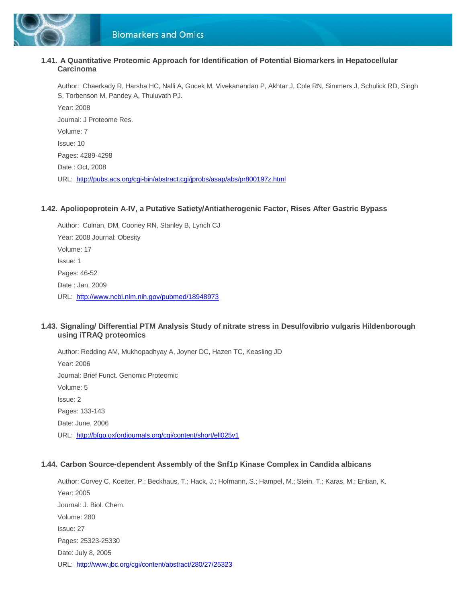

#### **1.41. A Quantitative Proteomic Approach for Identification of Potential Biomarkers in Hepatocellular Carcinoma**

Author: Chaerkady R, Harsha HC, Nalli A, Gucek M, Vivekanandan P, Akhtar J, Cole RN, Simmers J, Schulick RD, Singh S, Torbenson M, Pandey A, Thuluvath PJ. Year: 2008 Journal: J Proteome Res. Volume: 7 Issue: 10 Pages: 4289-4298 Date : Oct, 2008 URL: <http://pubs.acs.org/cgi-bin/abstract.cgi/jprobs/asap/abs/pr800197z.html>

#### **1.42. Apoliopoprotein A-IV, a Putative Satiety/Antiatherogenic Factor, Rises After Gastric Bypass**

Author: Culnan, DM, Cooney RN, Stanley B, Lynch CJ Year: 2008 Journal: Obesity Volume: 17 Issue: 1 Pages: 46-52 Date : Jan, 2009 URL:<http://www.ncbi.nlm.nih.gov/pubmed/18948973>

#### **1.43. Signaling/ Differential PTM Analysis Study of nitrate stress in Desulfovibrio vulgaris Hildenborough using iTRAQ proteomics**

Author: Redding AM, Mukhopadhyay A, Joyner DC, Hazen TC, Keasling JD Year: 2006 Journal: Brief Funct. Genomic Proteomic Volume: 5 Issue: 2 Pages: 133-143 Date: June, 2006 URL:<http://bfgp.oxfordjournals.org/cgi/content/short/ell025v1>

#### **1.44. Carbon Source-dependent Assembly of the Snf1p Kinase Complex in Candida albicans**

Author: Corvey C, Koetter, P.; Beckhaus, T.; Hack, J.; Hofmann, S.; Hampel, M.; Stein, T.; Karas, M.; Entian, K. Year: 2005 Journal: J. Biol. Chem. Volume: 280 Issue: 27 Pages: 25323-25330 Date: July 8, 2005 URL:<http://www.jbc.org/cgi/content/abstract/280/27/25323>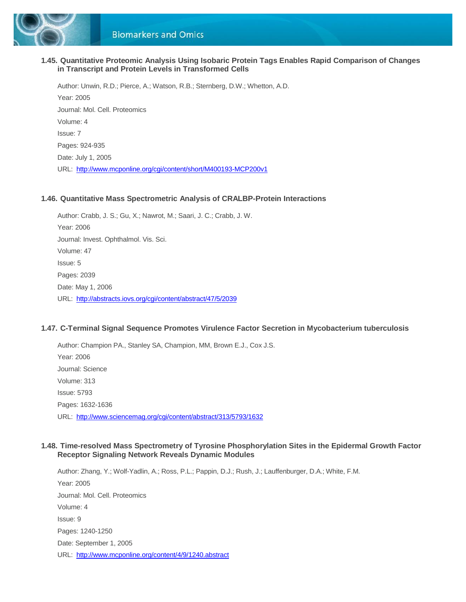

#### **1.45. Quantitative Proteomic Analysis Using Isobaric Protein Tags Enables Rapid Comparison of Changes in Transcript and Protein Levels in Transformed Cells**

Author: Unwin, R.D.; Pierce, A.; Watson, R.B.; Sternberg, D.W.; Whetton, A.D. Year: 2005 Journal: Mol. Cell. Proteomics Volume: 4 Issue: 7 Pages: 924-935 Date: July 1, 2005 URL:<http://www.mcponline.org/cgi/content/short/M400193-MCP200v1>

#### **1.46. Quantitative Mass Spectrometric Analysis of CRALBP-Protein Interactions**

Author: Crabb, J. S.; Gu, X.; Nawrot, M.; Saari, J. C.; Crabb, J. W. Year: 2006 Journal: Invest. Ophthalmol. Vis. Sci. Volume: 47 Issue: 5 Pages: 2039 Date: May 1, 2006 URL:<http://abstracts.iovs.org/cgi/content/abstract/47/5/2039>

#### **1.47. C-Terminal Signal Sequence Promotes Virulence Factor Secretion in Mycobacterium tuberculosis**

Author: Champion PA., Stanley SA, Champion, MM, Brown E.J., Cox J.S. Year: 2006 Journal: Science Volume: 313 Issue: 5793 Pages: 1632-1636 URL:<http://www.sciencemag.org/cgi/content/abstract/313/5793/1632>

#### **1.48. Time-resolved Mass Spectrometry of Tyrosine Phosphorylation Sites in the Epidermal Growth Factor Receptor Signaling Network Reveals Dynamic Modules**

Author: Zhang, Y.; Wolf-Yadlin, A.; Ross, P.L.; Pappin, D.J.; Rush, J.; Lauffenburger, D.A.; White, F.M. Year: 2005 Journal: Mol. Cell. Proteomics Volume: 4 Issue: 9 Pages: 1240-1250 Date: September 1, 2005 URL:<http://www.mcponline.org/content/4/9/1240.abstract>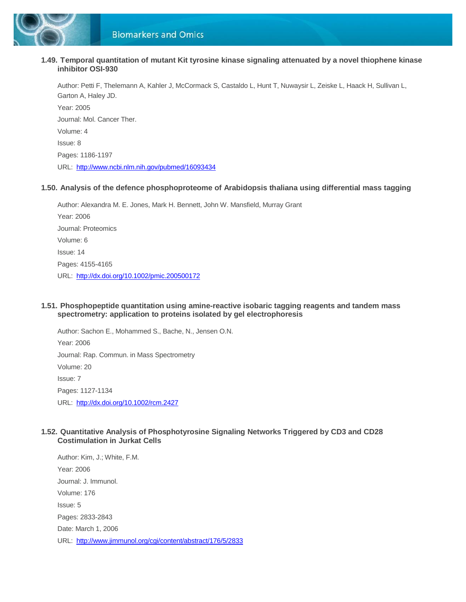

#### **1.49. Temporal quantitation of mutant Kit tyrosine kinase signaling attenuated by a novel thiophene kinase inhibitor OSI-930**

Author: Petti F, Thelemann A, Kahler J, McCormack S, Castaldo L, Hunt T, Nuwaysir L, Zeiske L, Haack H, Sullivan L, Garton A, Haley JD. Year: 2005 Journal: Mol. Cancer Ther. Volume: 4 Issue: 8 Pages: 1186-1197 URL:<http://www.ncbi.nlm.nih.gov/pubmed/16093434>

#### **1.50. Analysis of the defence phosphoproteome of Arabidopsis thaliana using differential mass tagging**

Author: Alexandra M. E. Jones, Mark H. Bennett, John W. Mansfield, Murray Grant Year: 2006 Journal: Proteomics Volume: 6 Issue: 14 Pages: 4155-4165 URL: <http://dx.doi.org/10.1002/pmic.200500172>

#### **1.51. Phosphopeptide quantitation using amine-reactive isobaric tagging reagents and tandem mass spectrometry: application to proteins isolated by gel electrophoresis**

Author: Sachon E., Mohammed S., Bache, N., Jensen O.N. Year: 2006 Journal: Rap. Commun. in Mass Spectrometry Volume: 20 Issue: 7 Pages: 1127-1134 URL:<http://dx.doi.org/10.1002/rcm.2427>

#### **1.52. Quantitative Analysis of Phosphotyrosine Signaling Networks Triggered by CD3 and CD28 Costimulation in Jurkat Cells**

Author: Kim, J.; White, F.M. Year: 2006 Journal: J. Immunol. Volume: 176 Issue: 5 Pages: 2833-2843 Date: March 1, 2006 URL:<http://www.jimmunol.org/cgi/content/abstract/176/5/2833>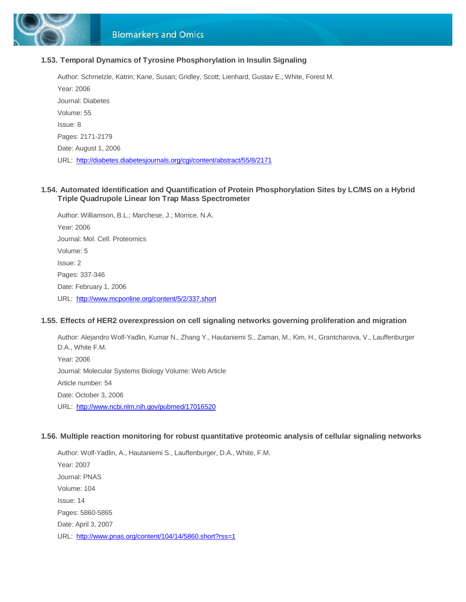

#### **1.53. Temporal Dynamics of Tyrosine Phosphorylation in Insulin Signaling**

Author: Schmelzle, Katrin; Kane, Susan; Gridley, Scott; Lienhard, Gustav E.; White, Forest M. Year: 2006 Journal: Diabetes Volume: 55 Issue: 8 Pages: 2171-2179 Date: August 1, 2006 URL:<http://diabetes.diabetesjournals.org/cgi/content/abstract/55/8/2171>

#### **1.54. Automated Identification and Quantification of Protein Phosphorylation Sites by LC/MS on a Hybrid Triple Quadrupole Linear Ion Trap Mass Spectrometer**

Author: Williamson, B.L.; Marchese, J.; Morrice, N.A. Year: 2006 Journal: Mol. Cell. Proteomics Volume: 5 Issue: 2 Pages: 337-346 Date: February 1, 2006 URL:<http://www.mcponline.org/content/5/2/337.short>

#### **1.55. Effects of HER2 overexpression on cell signaling networks governing proliferation and migration**

Author: Alejandro Wolf-Yadlin, Kumar N., Zhang Y., Hautaniemi S., Zaman, M., Kim, H., Grantcharova, V., Lauffenburger D.A., White F.M. Year: 2006 Journal: Molecular Systems Biology Volume: Web Article Article number: 54 Date: October 3, 2006 URL:<http://www.ncbi.nlm.nih.gov/pubmed/17016520>

#### **1.56. Multiple reaction monitoring for robust quantitative proteomic analysis of cellular signaling networks**

Author: Wolf-Yadlin, A., Hautaniemi S., Lauffenburger, D.A., White, F.M. Year: 2007 Journal: PNAS Volume: 104 Issue: 14 Pages: 5860-5865 Date: April 3, 2007 URL:<http://www.pnas.org/content/104/14/5860.short?rss=1>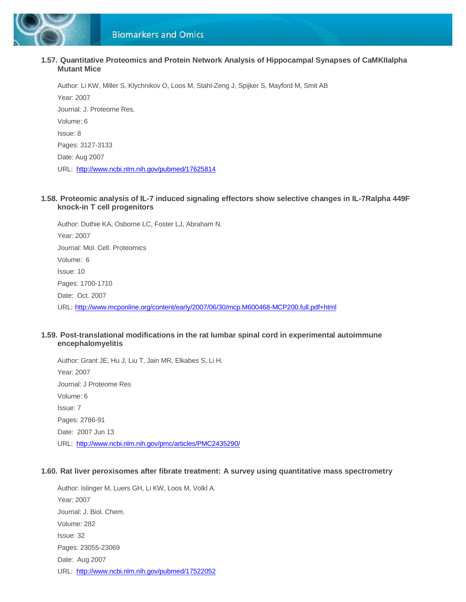

#### **1.57. Quantitative Proteomics and Protein Network Analysis of Hippocampal Synapses of CaMKIIalpha Mutant Mice**

Author: Li KW, Miller S, Klychnikov O, Loos M, Stahl-Zeng J, Spijker S, Mayford M, Smit AB Year: 2007 Journal: J. Proteome Res. Volume: 6 Issue: 8 Pages: 3127-3133 Date: Aug 2007 URL:<http://www.ncbi.nlm.nih.gov/pubmed/17625814>

#### **1.58. Proteomic analysis of IL-7 induced signaling effectors show selective changes in IL-7Ralpha 449F knock-in T cell progenitors**

Author: Duthie KA, Osborne LC, Foster LJ, Abraham N. Year: 2007 Journal: Mol. Cell. Proteomics Volume: 6 Issue: 10 Pages: 1700-1710 Date: Oct. 2007 URL: <http://www.mcponline.org/content/early/2007/06/30/mcp.M600468-MCP200.full.pdf+html>

#### **1.59. Post-translational modifications in the rat lumbar spinal cord in experimental autoimmune encephalomyelitis**

Author: Grant JE, Hu J, Liu T, Jain MR, Elkabes S, Li H. Year: 2007 Journal: J Proteome Res Volume: 6 Issue: 7 Pages: 2786-91 Date: 2007 Jun 13 URL:<http://www.ncbi.nlm.nih.gov/pmc/articles/PMC2435290/>

#### **1.60. Rat liver peroxisomes after fibrate treatment: A survey using quantitative mass spectrometry**

Author: Islinger M, Luers GH, Li KW, Loos M, Volkl A. Year: 2007 Journal: J. Biol. Chem. Volume: 282 Issue: 32 Pages: 23055-23069 Date: Aug 2007 URL:<http://www.ncbi.nlm.nih.gov/pubmed/17522052>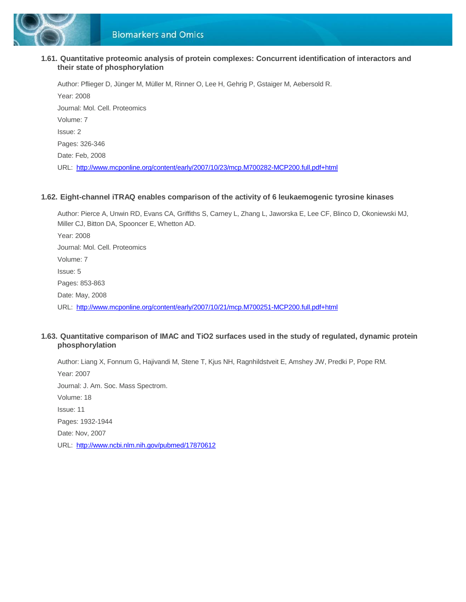

#### **1.61. Quantitative proteomic analysis of protein complexes: Concurrent identification of interactors and their state of phosphorylation**

Author: Pflieger D, Jünger M, Müller M, Rinner O, Lee H, Gehrig P, Gstaiger M, Aebersold R. Year: 2008 Journal: Mol. Cell. Proteomics Volume: 7 Issue: 2 Pages: 326-346 Date: Feb, 2008 URL:<http://www.mcponline.org/content/early/2007/10/23/mcp.M700282-MCP200.full.pdf+html>

#### **1.62. Eight-channel iTRAQ enables comparison of the activity of 6 leukaemogenic tyrosine kinases**

Author: Pierce A, Unwin RD, Evans CA, Griffiths S, Carney L, Zhang L, Jaworska E, Lee CF, Blinco D, Okoniewski MJ, Miller CJ, Bitton DA, Spooncer E, Whetton AD. Year: 2008 Journal: Mol. Cell. Proteomics Volume: 7 Issue: 5 Pages: 853-863 Date: May, 2008 URL:<http://www.mcponline.org/content/early/2007/10/21/mcp.M700251-MCP200.full.pdf+html>

#### **1.63. Quantitative comparison of IMAC and TiO2 surfaces used in the study of regulated, dynamic protein phosphorylation**

Author: Liang X, Fonnum G, Hajivandi M, Stene T, Kjus NH, Ragnhildstveit E, Amshey JW, Predki P, Pope RM. Year: 2007 Journal: J. Am. Soc. Mass Spectrom. Volume: 18 Issue: 11 Pages: 1932-1944 Date: Nov, 2007 URL:<http://www.ncbi.nlm.nih.gov/pubmed/17870612>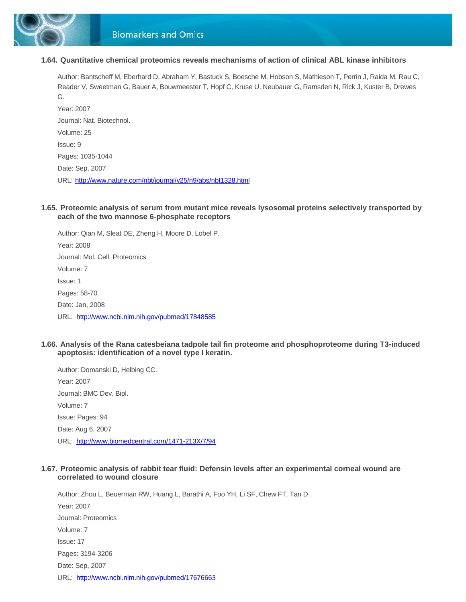

#### **1.64. Quantitative chemical proteomics reveals mechanisms of action of clinical ABL kinase inhibitors**

Author: Bantscheff M, Eberhard D, Abraham Y, Bastuck S, Boesche M, Hobson S, Mathieson T, Perrin J, Raida M, Rau C, Reader V, Sweetman G, Bauer A, Bouwmeester T, Hopf C, Kruse U, Neubauer G, Ramsden N, Rick J, Kuster B, Drewes G.

Year: 2007 Journal: Nat. Biotechnol. Volume: 25 Issue: 9 Pages: 1035-1044 Date: Sep, 2007 URL: <http://www.nature.com/nbt/journal/v25/n9/abs/nbt1328.html>

#### **1.65. Proteomic analysis of serum from mutant mice reveals lysosomal proteins selectively transported by each of the two mannose 6-phosphate receptors**

Author: Qian M, Sleat DE, Zheng H, Moore D, Lobel P. Year: 2008 Journal: Mol. Cell. Proteomics Volume: 7 Issue: 1 Pages: 58-70 Date: Jan, 2008 URL: http://www.ncbi.nlm.nih.gov/pubmed/17848585

#### **1.66. Analysis of the Rana catesbeiana tadpole tail fin proteome and phosphoproteome during T3-induced apoptosis: identification of a novel type I keratin.**

Author: Domanski D, Helbing CC. Year: 2007 Journal: BMC Dev. Biol. Volume: 7 Issue: Pages: 94 Date: Aug 6, 2007 URL:<http://www.biomedcentral.com/1471-213X/7/94>

#### **1.67. Proteomic analysis of rabbit tear fluid: Defensin levels after an experimental corneal wound are correlated to wound closure**

Author: Zhou L, Beuerman RW, Huang L, Barathi A, Foo YH, Li SF, Chew FT, Tan D. Year: 2007 Journal: Proteomics Volume: 7 Issue: 17 Pages: 3194-3206 Date: Sep, 2007 URL:<http://www.ncbi.nlm.nih.gov/pubmed/17676663>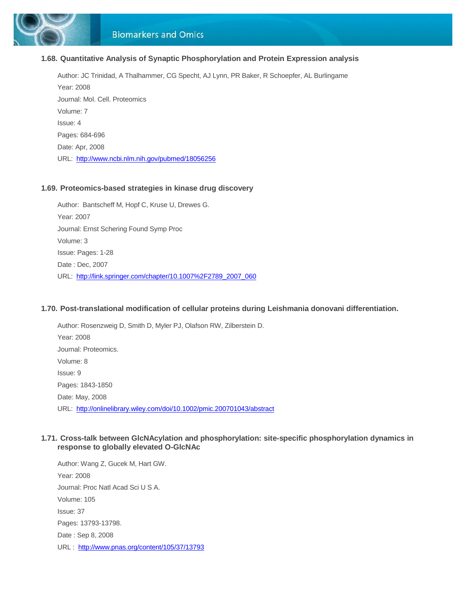

#### **1.68. Quantitative Analysis of Synaptic Phosphorylation and Protein Expression analysis**

Author: JC Trinidad, A Thalhammer, CG Specht, AJ Lynn, PR Baker, R Schoepfer, AL Burlingame Year: 2008 Journal: Mol. Cell. Proteomics Volume: 7 Issue: 4 Pages: 684-696 Date: Apr, 2008 URL:<http://www.ncbi.nlm.nih.gov/pubmed/18056256>

#### **1.69. Proteomics-based strategies in kinase drug discovery**

Author: Bantscheff M, Hopf C, Kruse U, Drewes G. Year: 2007 Journal: Ernst Schering Found Symp Proc Volume: 3 Issue: Pages: 1-28 Date : Dec, 2007 URL: [http://link.springer.com/chapter/10.1007%2F2789\\_2007\\_060](http://link.springer.com/chapter/10.1007%2F2789_2007_060)

#### **1.70. Post-translational modification of cellular proteins during Leishmania donovani differentiation.**

Author: Rosenzweig D, Smith D, Myler PJ, Olafson RW, Zilberstein D. Year: 2008 Journal: Proteomics. Volume: 8 Issue: 9 Pages: 1843-1850 Date: May, 2008 URL:<http://onlinelibrary.wiley.com/doi/10.1002/pmic.200701043/abstract>

#### **1.71. Cross-talk between GlcNAcylation and phosphorylation: site-specific phosphorylation dynamics in response to globally elevated O-GlcNAc**

Author: Wang Z, Gucek M, Hart GW. Year: 2008 Journal: Proc Natl Acad Sci U S A. Volume: 105 Issue: 37 Pages: 13793-13798. Date : Sep 8, 2008 URL : <http://www.pnas.org/content/105/37/13793>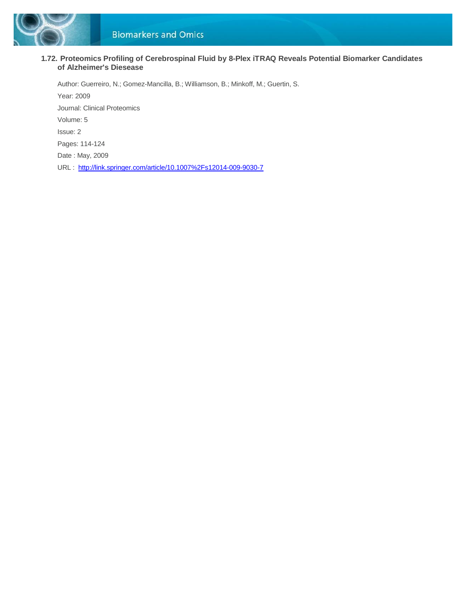

#### **1.72. Proteomics Profiling of Cerebrospinal Fluid by 8-Plex iTRAQ Reveals Potential Biomarker Candidates of Alzheimer's Diesease**

Author: Guerreiro, N.; Gomez-Mancilla, B.; Williamson, B.; Minkoff, M.; Guertin, S. Year: 2009 Journal: Clinical Proteomics Volume: 5 Issue: 2 Pages: 114-124 Date : May, 2009 URL : <http://link.springer.com/article/10.1007%2Fs12014-009-9030-7>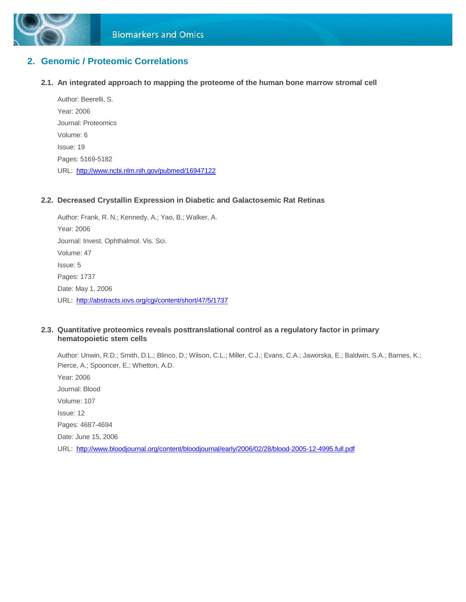

### **2. Genomic / Proteomic Correlations**

#### **2.1. An integrated approach to mapping the proteome of the human bone marrow stromal cell**

Author: Beerelli, S. Year: 2006 Journal: Proteomics Volume: 6 Issue: 19 Pages: 5169-5182 URL: <http://www.ncbi.nlm.nih.gov/pubmed/16947122>

#### **2.2. Decreased Crystallin Expression in Diabetic and Galactosemic Rat Retinas**

Author: Frank, R. N.; Kennedy, A.; Yao, B.; Walker, A. Year: 2006 Journal: Invest. Ophthalmol. Vis. Sci. Volume: 47 Issue: 5 Pages: 1737 Date: May 1, 2006 URL:<http://abstracts.iovs.org/cgi/content/short/47/5/1737>

#### **2.3. Quantitative proteomics reveals posttranslational control as a regulatory factor in primary hematopoietic stem cells**

Author: Unwin, R.D.; Smith, D.L.; Blinco, D.; Wilson, C.L.; Miller, C.J.; Evans, C.A.; Jaworska, E.; Baldwin, S.A.; Barnes, K.; Pierce, A.; Spooncer, E.; Whetton, A.D.

Year: 2006 Journal: Blood Volume: 107 Issue: 12 Pages: 4687-4694 Date: June 15, 2006 URL:<http://www.bloodjournal.org/content/bloodjournal/early/2006/02/28/blood-2005-12-4995.full.pdf>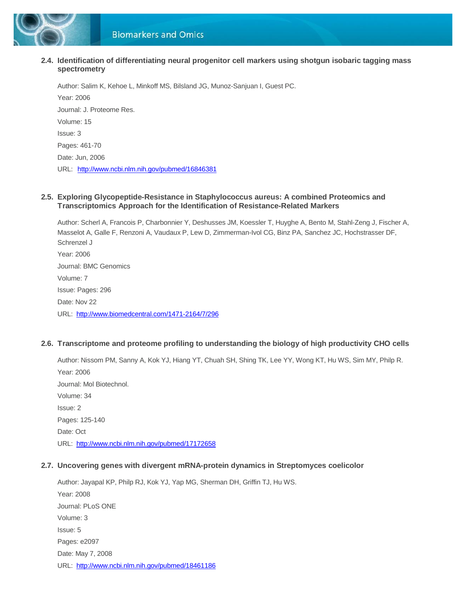

#### **2.4. Identification of differentiating neural progenitor cell markers using shotgun isobaric tagging mass spectrometry**

Author: Salim K, Kehoe L, Minkoff MS, Bilsland JG, Munoz-Sanjuan I, Guest PC. Year: 2006 Journal: J. Proteome Res. Volume: 15 Issue: 3 Pages: 461-70 Date: Jun, 2006 URL: <http://www.ncbi.nlm.nih.gov/pubmed/16846381>

#### **2.5. Exploring Glycopeptide-Resistance in Staphylococcus aureus: A combined Proteomics and Transcriptomics Approach for the Identification of Resistance-Related Markers**

Author: Scherl A, Francois P, Charbonnier Y, Deshusses JM, Koessler T, Huyghe A, Bento M, Stahl-Zeng J, Fischer A, Masselot A, Galle F, Renzoni A, Vaudaux P, Lew D, Zimmerman-Ivol CG, Binz PA, Sanchez JC, Hochstrasser DF, Schrenzel J Year: 2006 Journal: BMC Genomics Volume: 7 Issue: Pages: 296 Date: Nov 22 URL:<http://www.biomedcentral.com/1471-2164/7/296>

#### **2.6. Transcriptome and proteome profiling to understanding the biology of high productivity CHO cells**

Author: Nissom PM, Sanny A, Kok YJ, Hiang YT, Chuah SH, Shing TK, Lee YY, Wong KT, Hu WS, Sim MY, Philp R. Year: 2006 Journal: Mol Biotechnol. Volume: 34 Issue: 2 Pages: 125-140 Date: Oct URL: <http://www.ncbi.nlm.nih.gov/pubmed/17172658>

#### **2.7. Uncovering genes with divergent mRNA-protein dynamics in Streptomyces coelicolor**

Author: Jayapal KP, Philp RJ, Kok YJ, Yap MG, Sherman DH, Griffin TJ, Hu WS. Year: 2008 Journal: PLoS ONE Volume: 3 Issue: 5 Pages: e2097 Date: May 7, 2008 URL:<http://www.ncbi.nlm.nih.gov/pubmed/18461186>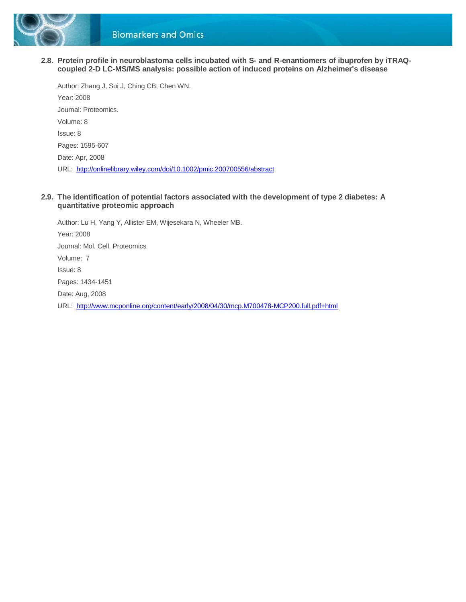

**2.8. Protein profile in neuroblastoma cells incubated with S- and R-enantiomers of ibuprofen by iTRAQcoupled 2-D LC-MS/MS analysis: possible action of induced proteins on Alzheimer's disease**

Author: Zhang J, Sui J, Ching CB, Chen WN. Year: 2008 Journal: Proteomics. Volume: 8 Issue: 8 Pages: 1595-607 Date: Apr, 2008 URL:<http://onlinelibrary.wiley.com/doi/10.1002/pmic.200700556/abstract>

#### **2.9. The identification of potential factors associated with the development of type 2 diabetes: A quantitative proteomic approach**

Author: Lu H, Yang Y, Allister EM, Wijesekara N, Wheeler MB. Year: 2008 Journal: Mol. Cell. Proteomics Volume: 7 Issue: 8 Pages: 1434-1451 Date: Aug, 2008 URL:<http://www.mcponline.org/content/early/2008/04/30/mcp.M700478-MCP200.full.pdf+html>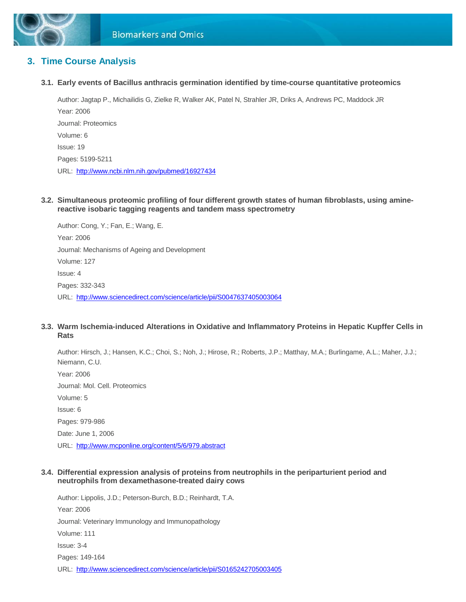

### **3. Time Course Analysis**

**3.1. Early events of Bacillus anthracis germination identified by time-course quantitative proteomics**

Author: Jagtap P., Michailidis G, Zielke R, Walker AK, Patel N, Strahler JR, Driks A, Andrews PC, Maddock JR Year: 2006 Journal: Proteomics Volume: 6 Issue: 19 Pages: 5199-5211 URL:<http://www.ncbi.nlm.nih.gov/pubmed/16927434>

**3.2. Simultaneous proteomic profiling of four different growth states of human fibroblasts, using aminereactive isobaric tagging reagents and tandem mass spectrometry**

Author: Cong, Y.; Fan, E.; Wang, E. Year: 2006 Journal: Mechanisms of Ageing and Development Volume: 127 Issue: 4 Pages: 332-343 URL:<http://www.sciencedirect.com/science/article/pii/S0047637405003064>

#### **3.3. Warm Ischemia-induced Alterations in Oxidative and Inflammatory Proteins in Hepatic Kupffer Cells in Rats**

Author: Hirsch, J.; Hansen, K.C.; Choi, S.; Noh, J.; Hirose, R.; Roberts, J.P.; Matthay, M.A.; Burlingame, A.L.; Maher, J.J.; Niemann, C.U. Year: 2006 Journal: Mol. Cell. Proteomics Volume: 5 Issue: 6 Pages: 979-986 Date: June 1, 2006

URL:<http://www.mcponline.org/content/5/6/979.abstract>

#### **3.4. Differential expression analysis of proteins from neutrophils in the periparturient period and neutrophils from dexamethasone-treated dairy cows**

Author: Lippolis, J.D.; Peterson-Burch, B.D.; Reinhardt, T.A. Year: 2006 Journal: Veterinary Immunology and Immunopathology Volume: 111 Issue: 3-4 Pages: 149-164 URL:<http://www.sciencedirect.com/science/article/pii/S0165242705003405>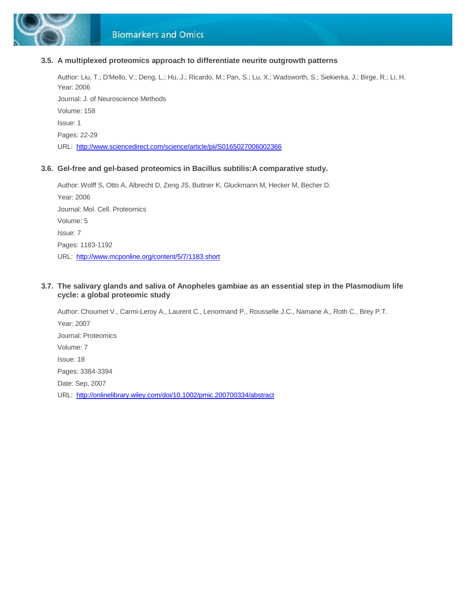

#### **3.5. A multiplexed proteomics approach to differentiate neurite outgrowth patterns**

Author: Liu, T.; D'Mello, V.; Deng, L.; Hu, J.; Ricardo, M.; Pan, S.; Lu, X.; Wadsworth, S.; Siekierka, J.; Birge, R.; Li, H. Year: 2006 Journal: J. of Neuroscience Methods Volume: 158 Issue: 1 Pages: 22-29 URL:<http://www.sciencedirect.com/science/article/pii/S0165027006002366>

#### **3.6. Gel-free and gel-based proteomics in Bacillus subtilis:A comparative study.**

Author: Wolff S, Otto A, Albrecht D, Zeng JS, Buttner K, Gluckmann M, Hecker M, Becher D. Year: 2006 Journal: Mol. Cell. Proteomics Volume: 5 Issue: 7 Pages: 1183-1192 URL:<http://www.mcponline.org/content/5/7/1183.short>

#### **3.7. The salivary glands and saliva of Anopheles gambiae as an essential step in the Plasmodium life cycle: a global proteomic study**

Author: Choumet V., Carmi-Leroy A., Laurent C., Lenormand P., Rousselle J.C., Namane A., Roth C., Brey P.T. Year: 2007 Journal: Proteomics Volume: 7 Issue: 18 Pages: 3384-3394 Date: Sep, 2007 URL:<http://onlinelibrary.wiley.com/doi/10.1002/pmic.200700334/abstract>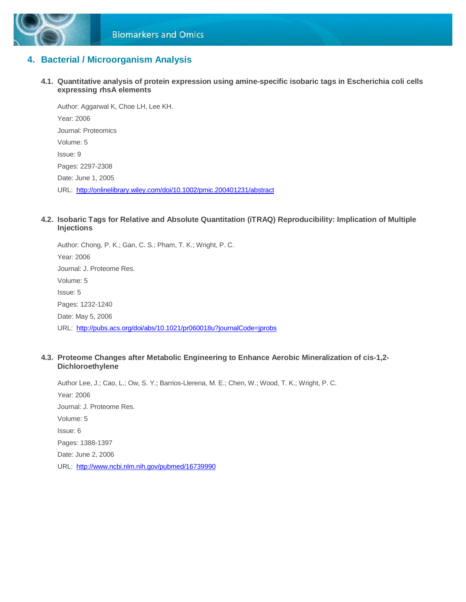

### **4. Bacterial / Microorganism Analysis**

**4.1. Quantitative analysis of protein expression using amine-specific isobaric tags in Escherichia coli cells expressing rhsA elements**

Author: Aggarwal K, Choe LH, Lee KH. Year: 2006 Journal: Proteomics Volume: 5 Issue: 9 Pages: 2297-2308 Date: June 1, 2005 URL:<http://onlinelibrary.wiley.com/doi/10.1002/pmic.200401231/abstract>

#### **4.2. Isobaric Tags for Relative and Absolute Quantitation (iTRAQ) Reproducibility: Implication of Multiple Injections**

Author: Chong, P. K.; Gan, C. S.; Pham, T. K.; Wright, P. C. Year: 2006 Journal: J. Proteome Res. Volume: 5 Issue: 5 Pages: 1232-1240 Date: May 5, 2006 URL:<http://pubs.acs.org/doi/abs/10.1021/pr060018u?journalCode=jprobs>

#### **4.3. Proteome Changes after Metabolic Engineering to Enhance Aerobic Mineralization of cis-1,2- Dichloroethylene**

Author Lee, J.; Cao, L.; Ow, S. Y.; Barrios-Llerena, M. E.; Chen, W.; Wood, T. K.; Wright, P. C. Year: 2006 Journal: J. Proteome Res. Volume: 5 Issue: 6 Pages: 1388-1397 Date: June 2, 2006 URL:<http://www.ncbi.nlm.nih.gov/pubmed/16739990>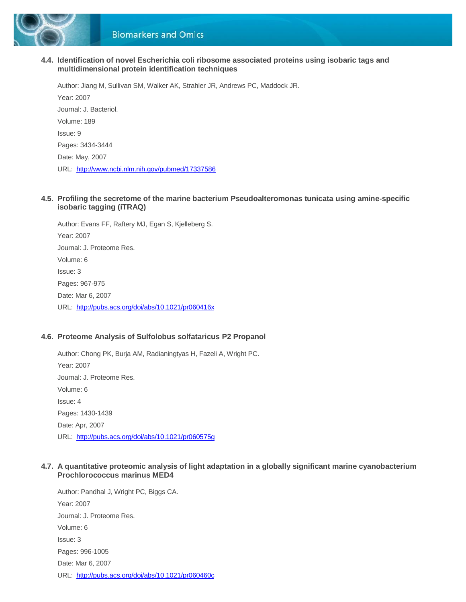

#### **4.4. Identification of novel Escherichia coli ribosome associated proteins using isobaric tags and multidimensional protein identification techniques**

Author: Jiang M, Sullivan SM, Walker AK, Strahler JR, Andrews PC, Maddock JR. Year: 2007 Journal: J. Bacteriol. Volume: 189 Issue: 9 Pages: 3434-3444 Date: May, 2007 URL:<http://www.ncbi.nlm.nih.gov/pubmed/17337586>

#### **4.5. Profiling the secretome of the marine bacterium Pseudoalteromonas tunicata using amine-specific isobaric tagging (iTRAQ)**

Author: Evans FF, Raftery MJ, Egan S, Kjelleberg S. Year: 2007 Journal: J. Proteome Res. Volume: 6 Issue: 3 Pages: 967-975 Date: Mar 6, 2007 URL:<http://pubs.acs.org/doi/abs/10.1021/pr060416x>

#### **4.6. Proteome Analysis of Sulfolobus solfataricus P2 Propanol**

Author: Chong PK, Burja AM, Radianingtyas H, Fazeli A, Wright PC. Year: 2007 Journal: J. Proteome Res. Volume: 6 Issue: 4 Pages: 1430-1439 Date: Apr, 2007 URL:<http://pubs.acs.org/doi/abs/10.1021/pr060575g>

#### **4.7. A quantitative proteomic analysis of light adaptation in a globally significant marine cyanobacterium Prochlorococcus marinus MED4**

Author: Pandhal J, Wright PC, Biggs CA. Year: 2007 Journal: J. Proteome Res. Volume: 6 Issue: 3 Pages: 996-1005 Date: Mar 6, 2007 URL:<http://pubs.acs.org/doi/abs/10.1021/pr060460c>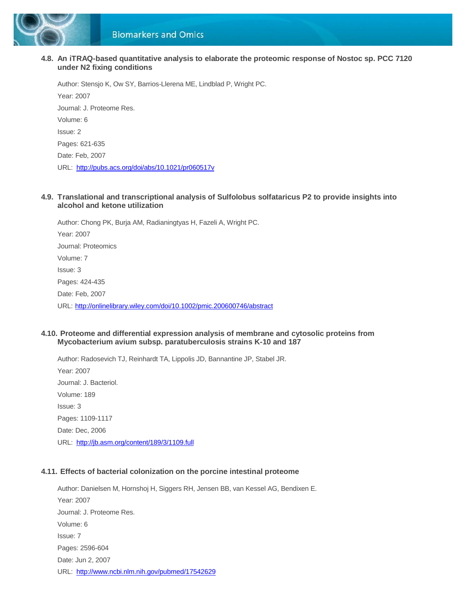

#### **4.8. An iTRAQ-based quantitative analysis to elaborate the proteomic response of Nostoc sp. PCC 7120 under N2 fixing conditions**

Author: Stensjo K, Ow SY, Barrios-Llerena ME, Lindblad P, Wright PC. Year: 2007 Journal: J. Proteome Res. Volume: 6 Issue: 2 Pages: 621-635 Date: Feb, 2007 URL:<http://pubs.acs.org/doi/abs/10.1021/pr060517v>

#### **4.9. Translational and transcriptional analysis of Sulfolobus solfataricus P2 to provide insights into alcohol and ketone utilization**

Author: Chong PK, Burja AM, Radianingtyas H, Fazeli A, Wright PC. Year: 2007 Journal: Proteomics Volume: 7 Issue: 3 Pages: 424-435 Date: Feb, 2007 URL: <http://onlinelibrary.wiley.com/doi/10.1002/pmic.200600746/abstract>

#### **4.10. Proteome and differential expression analysis of membrane and cytosolic proteins from Mycobacterium avium subsp. paratuberculosis strains K-10 and 187**

Author: Radosevich TJ, Reinhardt TA, Lippolis JD, Bannantine JP, Stabel JR. Year: 2007 Journal: J. Bacteriol. Volume: 189 Issue: 3 Pages: 1109-1117 Date: Dec, 2006 URL:<http://jb.asm.org/content/189/3/1109.full>

#### **4.11. Effects of bacterial colonization on the porcine intestinal proteome**

Author: Danielsen M, Hornshoj H, Siggers RH, Jensen BB, van Kessel AG, Bendixen E. Year: 2007 Journal: J. Proteome Res. Volume: 6 Issue: 7 Pages: 2596-604 Date: Jun 2, 2007 URL:<http://www.ncbi.nlm.nih.gov/pubmed/17542629>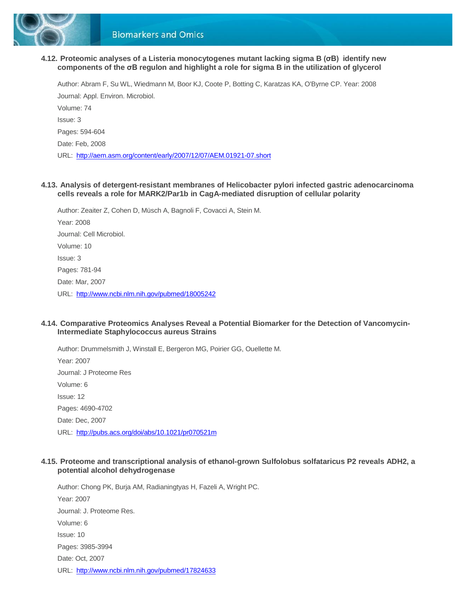

#### **4.12. Proteomic analyses of a Listeria monocytogenes mutant lacking sigma B (σB) identify new components of the σB regulon and highlight a role for sigma B in the utilization of glycerol**

Author: Abram F, Su WL, Wiedmann M, Boor KJ, Coote P, Botting C, Karatzas KA, O'Byrne CP. Year: 2008 Journal: Appl. Environ. Microbiol. Volume: 74 Issue: 3 Pages: 594-604 Date: Feb, 2008 URL:<http://aem.asm.org/content/early/2007/12/07/AEM.01921-07.short>

#### **4.13. Analysis of detergent-resistant membranes of Helicobacter pylori infected gastric adenocarcinoma cells reveals a role for MARK2/Par1b in CagA-mediated disruption of cellular polarity**

Author: Zeaiter Z, Cohen D, Müsch A, Bagnoli F, Covacci A, Stein M. Year: 2008 Journal: Cell Microbiol. Volume: 10 Issue: 3 Pages: 781-94 Date: Mar, 2007 URL:<http://www.ncbi.nlm.nih.gov/pubmed/18005242>

#### **4.14. Comparative Proteomics Analyses Reveal a Potential Biomarker for the Detection of Vancomycin-Intermediate Staphylococcus aureus Strains**

Author: Drummelsmith J, Winstall E, Bergeron MG, Poirier GG, Ouellette M. Year: 2007 Journal: J Proteome Res Volume: 6 Issue: 12 Pages: 4690-4702 Date: Dec, 2007 URL:<http://pubs.acs.org/doi/abs/10.1021/pr070521m>

#### **4.15. Proteome and transcriptional analysis of ethanol-grown Sulfolobus solfataricus P2 reveals ADH2, a potential alcohol dehydrogenase**

Author: Chong PK, Burja AM, Radianingtyas H, Fazeli A, Wright PC. Year: 2007 Journal: J. Proteome Res. Volume: 6 Issue: 10 Pages: 3985-3994 Date: Oct, 2007 URL:<http://www.ncbi.nlm.nih.gov/pubmed/17824633>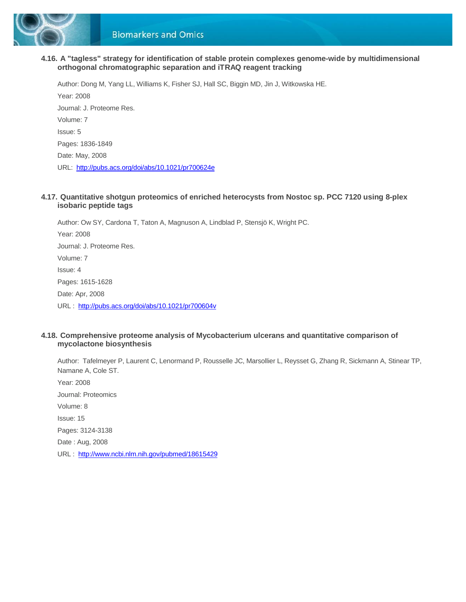

#### **4.16. A "tagless" strategy for identification of stable protein complexes genome-wide by multidimensional orthogonal chromatographic separation and iTRAQ reagent tracking**

Author: Dong M, Yang LL, Williams K, Fisher SJ, Hall SC, Biggin MD, Jin J, Witkowska HE. Year: 2008 Journal: J. Proteome Res. Volume: 7 Issue: 5 Pages: 1836-1849 Date: May, 2008 URL:<http://pubs.acs.org/doi/abs/10.1021/pr700624e>

#### **4.17. Quantitative shotgun proteomics of enriched heterocysts from Nostoc sp. PCC 7120 using 8-plex isobaric peptide tags**

Author: Ow SY, Cardona T, Taton A, Magnuson A, Lindblad P, Stensjö K, Wright PC. Year: 2008 Journal: J. Proteome Res. Volume: 7 Issue: 4 Pages: 1615-1628 Date: Apr, 2008 URL : <http://pubs.acs.org/doi/abs/10.1021/pr700604v>

#### **4.18. Comprehensive proteome analysis of Mycobacterium ulcerans and quantitative comparison of mycolactone biosynthesis**

Author: Tafelmeyer P, Laurent C, Lenormand P, Rousselle JC, Marsollier L, Reysset G, Zhang R, Sickmann A, Stinear TP, Namane A, Cole ST.

Year: 2008 Journal: Proteomics Volume: 8 Issue: 15 Pages: 3124-3138 Date : Aug, 2008 URL : <http://www.ncbi.nlm.nih.gov/pubmed/18615429>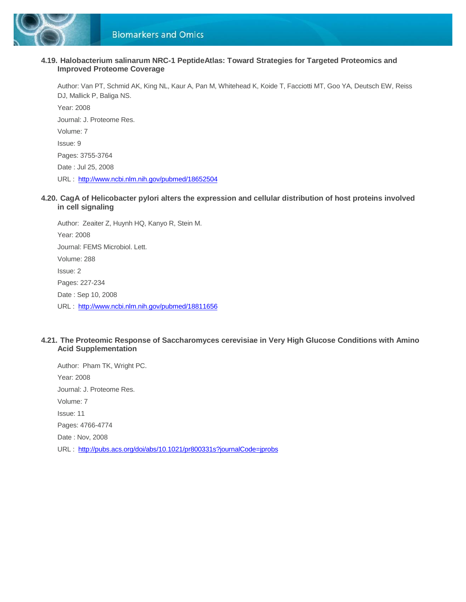

#### **4.19. Halobacterium salinarum NRC-1 PeptideAtlas: Toward Strategies for Targeted Proteomics and Improved Proteome Coverage**

Author: Van PT, Schmid AK, King NL, Kaur A, Pan M, Whitehead K, Koide T, Facciotti MT, Goo YA, Deutsch EW, Reiss DJ, Mallick P, Baliga NS. Year: 2008 Journal: J. Proteome Res. Volume: 7 Issue: 9 Pages: 3755-3764 Date : Jul 25, 2008 URL : <http://www.ncbi.nlm.nih.gov/pubmed/18652504>

#### **4.20. CagA of Helicobacter pylori alters the expression and cellular distribution of host proteins involved in cell signaling**

Author: Zeaiter Z, Huynh HQ, Kanyo R, Stein M. Year: 2008 Journal: FEMS Microbiol. Lett. Volume: 288 Issue: 2 Pages: 227-234 Date : Sep 10, 2008 URL : <http://www.ncbi.nlm.nih.gov/pubmed/18811656>

#### **4.21. The Proteomic Response of Saccharomyces cerevisiae in Very High Glucose Conditions with Amino Acid Supplementation**

Author: Pham TK, Wright PC. Year: 2008 Journal: J. Proteome Res. Volume: 7 Issue: 11 Pages: 4766-4774 Date : Nov, 2008 URL : <http://pubs.acs.org/doi/abs/10.1021/pr800331s?journalCode=jprobs>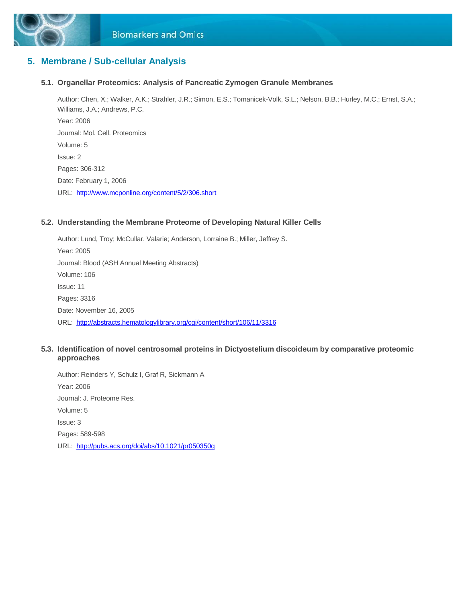

### **5. Membrane / Sub-cellular Analysis**

#### **5.1. Organellar Proteomics: Analysis of Pancreatic Zymogen Granule Membranes**

Author: Chen, X.; Walker, A.K.; Strahler, J.R.; Simon, E.S.; Tomanicek-Volk, S.L.; Nelson, B.B.; Hurley, M.C.; Ernst, S.A.; Williams, J.A.; Andrews, P.C. Year: 2006 Journal: Mol. Cell. Proteomics Volume: 5 Issue: 2 Pages: 306-312 Date: February 1, 2006 URL:<http://www.mcponline.org/content/5/2/306.short>

#### **5.2. Understanding the Membrane Proteome of Developing Natural Killer Cells**

Author: Lund, Troy; McCullar, Valarie; Anderson, Lorraine B.; Miller, Jeffrey S. Year: 2005 Journal: Blood (ASH Annual Meeting Abstracts) Volume: 106 Issue: 11 Pages: 3316 Date: November 16, 2005 URL:<http://abstracts.hematologylibrary.org/cgi/content/short/106/11/3316>

#### **5.3. Identification of novel centrosomal proteins in Dictyostelium discoideum by comparative proteomic approaches**

Author: Reinders Y, Schulz I, Graf R, Sickmann A Year: 2006 Journal: J. Proteome Res. Volume: 5 Issue: 3 Pages: 589-598 URL:<http://pubs.acs.org/doi/abs/10.1021/pr050350q>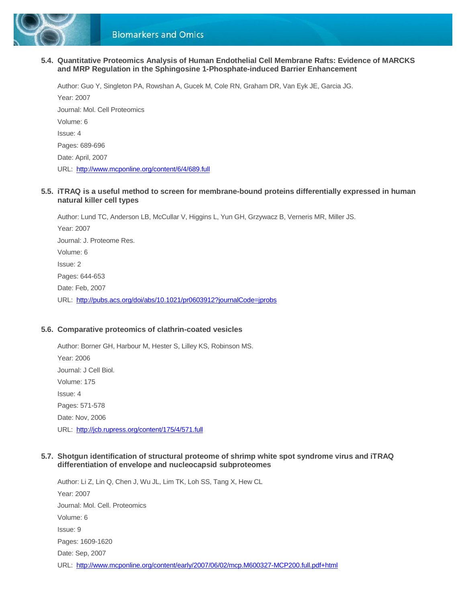

**5.4. Quantitative Proteomics Analysis of Human Endothelial Cell Membrane Rafts: Evidence of MARCKS and MRP Regulation in the Sphingosine 1-Phosphate-induced Barrier Enhancement**

Author: Guo Y, Singleton PA, Rowshan A, Gucek M, Cole RN, Graham DR, Van Eyk JE, Garcia JG. Year: 2007 Journal: Mol. Cell Proteomics Volume: 6 Issue: 4 Pages: 689-696 Date: April, 2007 URL:<http://www.mcponline.org/content/6/4/689.full>

#### **5.5. iTRAQ is a useful method to screen for membrane-bound proteins differentially expressed in human natural killer cell types**

Author: Lund TC, Anderson LB, McCullar V, Higgins L, Yun GH, Grzywacz B, Verneris MR, Miller JS. Year: 2007 Journal: J. Proteome Res. Volume: 6 Issue: 2 Pages: 644-653 Date: Feb, 2007 URL:<http://pubs.acs.org/doi/abs/10.1021/pr0603912?journalCode=jprobs>

#### **5.6. Comparative proteomics of clathrin-coated vesicles**

Author: Borner GH, Harbour M, Hester S, Lilley KS, Robinson MS. Year: 2006 Journal: J Cell Biol. Volume: 175 Issue: 4 Pages: 571-578 Date: Nov, 2006 URL:<http://jcb.rupress.org/content/175/4/571.full>

#### **5.7. Shotgun identification of structural proteome of shrimp white spot syndrome virus and iTRAQ differentiation of envelope and nucleocapsid subproteomes**

Author: Li Z, Lin Q, Chen J, Wu JL, Lim TK, Loh SS, Tang X, Hew CL Year: 2007 Journal: Mol. Cell. Proteomics Volume: 6 Issue: 9 Pages: 1609-1620 Date: Sep, 2007 URL:<http://www.mcponline.org/content/early/2007/06/02/mcp.M600327-MCP200.full.pdf+html>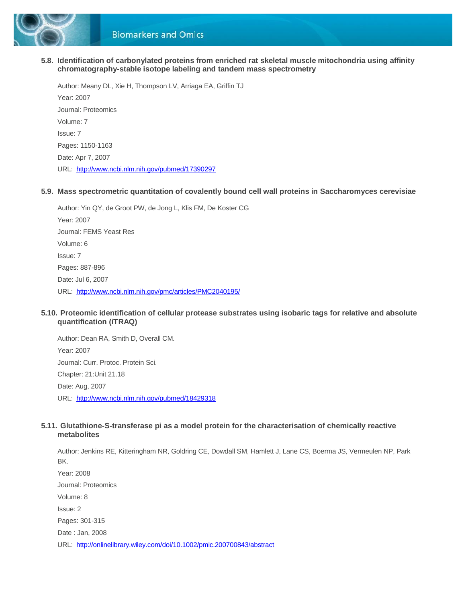

**5.8. Identification of carbonylated proteins from enriched rat skeletal muscle mitochondria using affinity chromatography-stable isotope labeling and tandem mass spectrometry**

Author: Meany DL, Xie H, Thompson LV, Arriaga EA, Griffin TJ Year: 2007 Journal: Proteomics Volume: 7 Issue: 7 Pages: 1150-1163 Date: Apr 7, 2007 URL:<http://www.ncbi.nlm.nih.gov/pubmed/17390297>

**5.9. Mass spectrometric quantitation of covalently bound cell wall proteins in Saccharomyces cerevisiae**

Author: Yin QY, de Groot PW, de Jong L, Klis FM, De Koster CG Year: 2007 Journal: FEMS Yeast Res Volume: 6 Issue: 7 Pages: 887-896 Date: Jul 6, 2007 URL:<http://www.ncbi.nlm.nih.gov/pmc/articles/PMC2040195/>

#### **5.10. Proteomic identification of cellular protease substrates using isobaric tags for relative and absolute quantification (iTRAQ)**

Author: Dean RA, Smith D, Overall CM. Year: 2007 Journal: Curr. Protoc. Protein Sci. Chapter: 21:Unit 21.18 Date: Aug, 2007 URL:<http://www.ncbi.nlm.nih.gov/pubmed/18429318>

#### **5.11. Glutathione-S-transferase pi as a model protein for the characterisation of chemically reactive metabolites**

Author: Jenkins RE, Kitteringham NR, Goldring CE, Dowdall SM, Hamlett J, Lane CS, Boerma JS, Vermeulen NP, Park BK. Year: 2008

Journal: Proteomics Volume: 8 Issue: 2 Pages: 301-315 Date : Jan, 2008 URL: <http://onlinelibrary.wiley.com/doi/10.1002/pmic.200700843/abstract>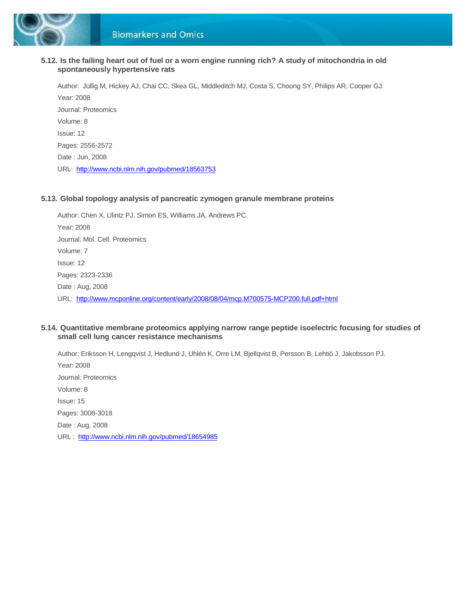

#### **5.12. Is the failing heart out of fuel or a worn engine running rich? A study of mitochondria in old spontaneously hypertensive rats**

Author: Jüllig M, Hickey AJ, Chai CC, Skea GL, Middleditch MJ, Costa S, Choong SY, Philips AR, Cooper GJ. Year: 2008 Journal: Proteomics Volume: 8 Issue: 12 Pages: 2556-2572 Date : Jun, 2008 URL:<http://www.ncbi.nlm.nih.gov/pubmed/18563753>

#### **5.13. Global topology analysis of pancreatic zymogen granule membrane proteins**

Author: Chen X, Ulintz PJ, Simon ES, Williams JA, Andrews PC. Year: 2008 Journal: Mol. Cell. Proteomics Volume: 7 Issue: 12 Pages: 2323-2336 Date : Aug, 2008 URL:<http://www.mcponline.org/content/early/2008/08/04/mcp.M700575-MCP200.full.pdf+html>

#### **5.14. Quantitative membrane proteomics applying narrow range peptide isoelectric focusing for studies of small cell lung cancer resistance mechanisms**

Author: Eriksson H, Lengqvist J, Hedlund J, Uhlén K, Orre LM, Bjellqvist B, Persson B, Lehtiö J, Jakobsson PJ. Year: 2008 Journal: Proteomics Volume: 8 Issue: 15 Pages: 3008-3018 Date : Aug, 2008 URL : <http://www.ncbi.nlm.nih.gov/pubmed/18654985>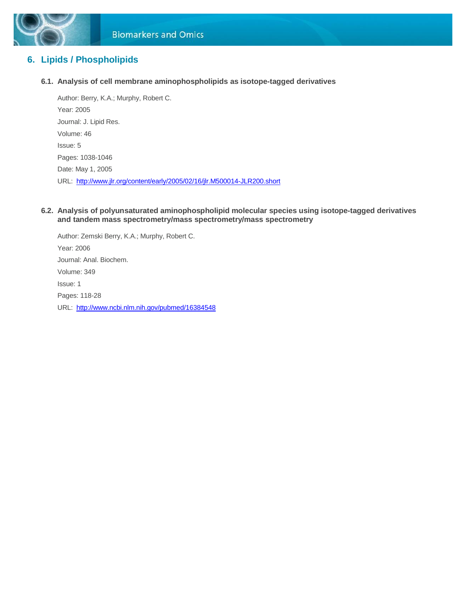

### **6. Lipids / Phospholipids**

**6.1. Analysis of cell membrane aminophospholipids as isotope-tagged derivatives**

Author: Berry, K.A.; Murphy, Robert C. Year: 2005 Journal: J. Lipid Res. Volume: 46 Issue: 5 Pages: 1038-1046 Date: May 1, 2005 URL:<http://www.jlr.org/content/early/2005/02/16/jlr.M500014-JLR200.short>

**6.2. Analysis of polyunsaturated aminophospholipid molecular species using isotope-tagged derivatives and tandem mass spectrometry/mass spectrometry/mass spectrometry**

Author: Zemski Berry, K.A.; Murphy, Robert C. Year: 2006 Journal: Anal. Biochem. Volume: 349 Issue: 1 Pages: 118-28 URL:<http://www.ncbi.nlm.nih.gov/pubmed/16384548>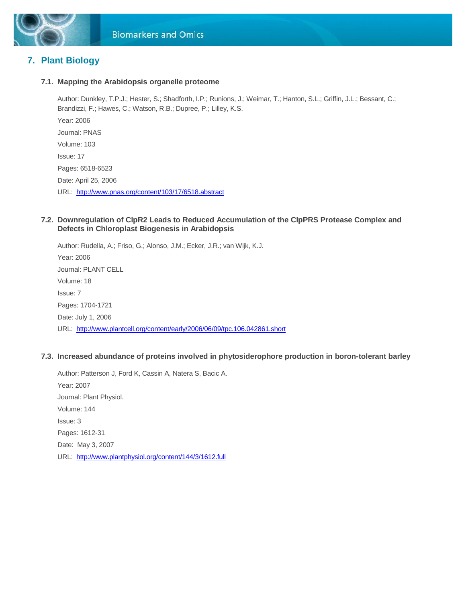

### **7. Plant Biology**

#### **7.1. Mapping the Arabidopsis organelle proteome**

Author: Dunkley, T.P.J.; Hester, S.; Shadforth, I.P.; Runions, J.; Weimar, T.; Hanton, S.L.; Griffin, J.L.; Bessant, C.; Brandizzi, F.; Hawes, C.; Watson, R.B.; Dupree, P.; Lilley, K.S. Year: 2006 Journal: PNAS Volume: 103 Issue: 17 Pages: 6518-6523 Date: April 25, 2006 URL:<http://www.pnas.org/content/103/17/6518.abstract>

#### **7.2. Downregulation of ClpR2 Leads to Reduced Accumulation of the ClpPRS Protease Complex and Defects in Chloroplast Biogenesis in Arabidopsis**

Author: Rudella, A.; Friso, G.; Alonso, J.M.; Ecker, J.R.; van Wijk, K.J. Year: 2006 Journal: PLANT CELL Volume: 18 Issue: 7 Pages: 1704-1721 Date: July 1, 2006 URL:<http://www.plantcell.org/content/early/2006/06/09/tpc.106.042861.short>

#### **7.3. Increased abundance of proteins involved in phytosiderophore production in boron-tolerant barley**

Author: Patterson J, Ford K, Cassin A, Natera S, Bacic A. Year: 2007 Journal: Plant Physiol. Volume: 144 Issue: 3 Pages: 1612-31 Date: May 3, 2007 URL:<http://www.plantphysiol.org/content/144/3/1612.full>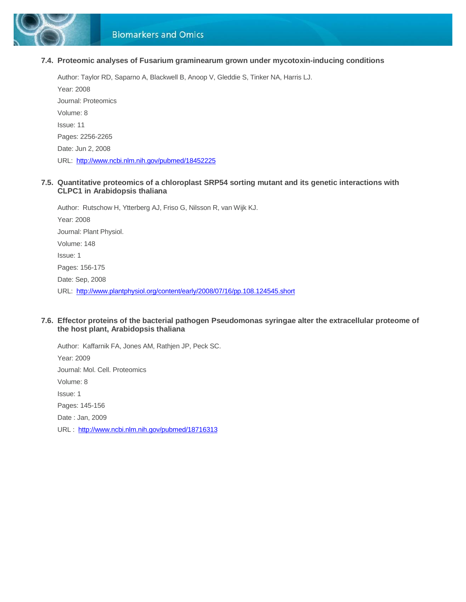

#### **7.4. Proteomic analyses of Fusarium graminearum grown under mycotoxin-inducing conditions**

Author: Taylor RD, Saparno A, Blackwell B, Anoop V, Gleddie S, Tinker NA, Harris LJ. Year: 2008 Journal: Proteomics Volume: 8 Issue: 11 Pages: 2256-2265 Date: Jun 2, 2008 URL:<http://www.ncbi.nlm.nih.gov/pubmed/18452225>

#### **7.5. Quantitative proteomics of a chloroplast SRP54 sorting mutant and its genetic interactions with CLPC1 in Arabidopsis thaliana**

Author: Rutschow H, Ytterberg AJ, Friso G, Nilsson R, van Wijk KJ. Year: 2008 Journal: Plant Physiol. Volume: 148 Issue: 1 Pages: 156-175 Date: Sep, 2008 URL: <http://www.plantphysiol.org/content/early/2008/07/16/pp.108.124545.short>

#### **7.6. Effector proteins of the bacterial pathogen Pseudomonas syringae alter the extracellular proteome of the host plant, Arabidopsis thaliana**

Author: Kaffarnik FA, Jones AM, Rathjen JP, Peck SC. Year: 2009 Journal: Mol. Cell. Proteomics Volume: 8 Issue: 1 Pages: 145-156 Date : Jan, 2009 URL : <http://www.ncbi.nlm.nih.gov/pubmed/18716313>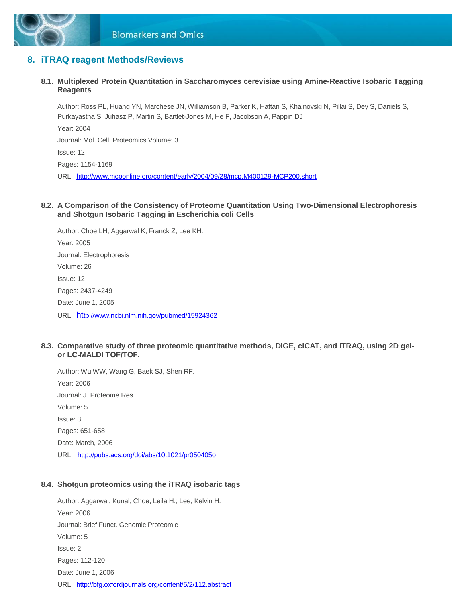

### **8. iTRAQ reagent Methods/Reviews**

**8.1. Multiplexed Protein Quantitation in Saccharomyces cerevisiae using Amine-Reactive Isobaric Tagging Reagents**

Author: Ross PL, Huang YN, Marchese JN, Williamson B, Parker K, Hattan S, Khainovski N, Pillai S, Dey S, Daniels S, Purkayastha S, Juhasz P, Martin S, Bartlet-Jones M, He F, Jacobson A, Pappin DJ Year: 2004 Journal: Mol. Cell. Proteomics Volume: 3 Issue: 12 Pages: 1154-1169 URL:<http://www.mcponline.org/content/early/2004/09/28/mcp.M400129-MCP200.short>

**8.2. A Comparison of the Consistency of Proteome Quantitation Using Two-Dimensional Electrophoresis and Shotgun Isobaric Tagging in Escherichia coli Cells**

Author: Choe LH, Aggarwal K, Franck Z, Lee KH. Year: 2005 Journal: Electrophoresis Volume: 26 Issue: 12 Pages: 2437-4249 Date: June 1, 2005 URL: ht[tp://www.ncbi.nlm.nih.gov/pubmed/15924362](http://www.ncbi.nlm.nih.gov/pubmed/15924362)

**8.3. Comparative study of three proteomic quantitative methods, DIGE, cICAT, and iTRAQ, using 2D gelor LC-MALDI TOF/TOF.**

Author: Wu WW, Wang G, Baek SJ, Shen RF. Year: 2006 Journal: J. Proteome Res. Volume: 5 Issue: 3 Pages: 651-658 Date: March, 2006 URL: <http://pubs.acs.org/doi/abs/10.1021/pr050405o>

#### **8.4. Shotgun proteomics using the iTRAQ isobaric tags**

Author: Aggarwal, Kunal; Choe, Leila H.; Lee, Kelvin H. Year: 2006 Journal: Brief Funct. Genomic Proteomic Volume: 5 Issue: 2 Pages: 112-120 Date: June 1, 2006 URL:<http://bfg.oxfordjournals.org/content/5/2/112.abstract>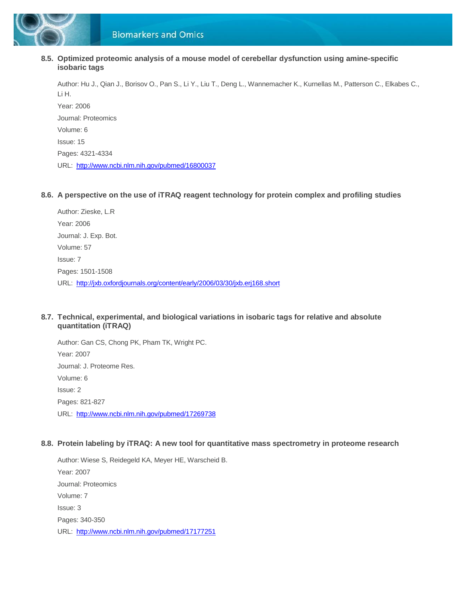

#### **8.5. Optimized proteomic analysis of a mouse model of cerebellar dysfunction using amine-specific isobaric tags**

Author: Hu J., Qian J., Borisov O., Pan S., Li Y., Liu T., Deng L., Wannemacher K., Kurnellas M., Patterson C., Elkabes C., Li H. Year: 2006 Journal: Proteomics Volume: 6 Issue: 15 Pages: 4321-4334 URL: <http://www.ncbi.nlm.nih.gov/pubmed/16800037>

#### **8.6. A perspective on the use of iTRAQ reagent technology for protein complex and profiling studies**

Author: Zieske, L.R Year: 2006 Journal: J. Exp. Bot. Volume: 57 Issue: 7 Pages: 1501-1508 URL:<http://jxb.oxfordjournals.org/content/early/2006/03/30/jxb.erj168.short>

#### **8.7. Technical, experimental, and biological variations in isobaric tags for relative and absolute quantitation (iTRAQ)**

Author: Gan CS, Chong PK, Pham TK, Wright PC. Year: 2007 Journal: J. Proteome Res. Volume: 6 Issue: 2 Pages: 821-827 URL:<http://www.ncbi.nlm.nih.gov/pubmed/17269738>

#### **8.8. Protein labeling by iTRAQ: A new tool for quantitative mass spectrometry in proteome research**

Author: Wiese S, Reidegeld KA, Meyer HE, Warscheid B. Year: 2007 Journal: Proteomics Volume: 7 Issue: 3 Pages: 340-350 URL:<http://www.ncbi.nlm.nih.gov/pubmed/17177251>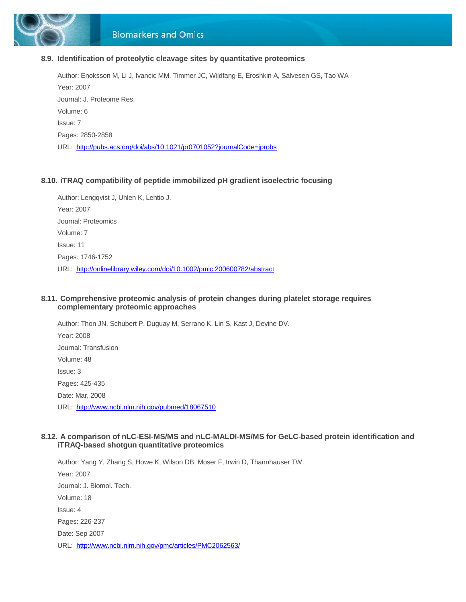

#### **8.9. Identification of proteolytic cleavage sites by quantitative proteomics**

Author: Enoksson M, Li J, Ivancic MM, Timmer JC, Wildfang E, Eroshkin A, Salvesen GS, Tao WA Year: 2007 Journal: J. Proteome Res. Volume: 6 Issue: 7 Pages: 2850-2858 URL:<http://pubs.acs.org/doi/abs/10.1021/pr0701052?journalCode=jprobs>

#### **8.10. iTRAQ compatibility of peptide immobilized pH gradient isoelectric focusing**

Author: Lengqvist J, Uhlen K, Lehtio J. Year: 2007 Journal: Proteomics Volume: 7 Issue: 11 Pages: 1746-1752 URL:<http://onlinelibrary.wiley.com/doi/10.1002/pmic.200600782/abstract>

#### **8.11. Comprehensive proteomic analysis of protein changes during platelet storage requires complementary proteomic approaches**

Author: Thon JN, Schubert P, Duguay M, Serrano K, Lin S, Kast J, Devine DV. Year: 2008 Journal: Transfusion Volume: 48 Issue: 3 Pages: 425-435 Date: Mar, 2008 URL:<http://www.ncbi.nlm.nih.gov/pubmed/18067510>

#### **8.12. A comparison of nLC-ESI-MS/MS and nLC-MALDI-MS/MS for GeLC-based protein identification and iTRAQ-based shotgun quantitative proteomics**

Author: Yang Y, Zhang S, Howe K, Wilson DB, Moser F, Irwin D, Thannhauser TW. Year: 2007 Journal: J. Biomol. Tech. Volume: 18 Issue: 4 Pages: 226-237 Date: Sep 2007 URL:<http://www.ncbi.nlm.nih.gov/pmc/articles/PMC2062563/>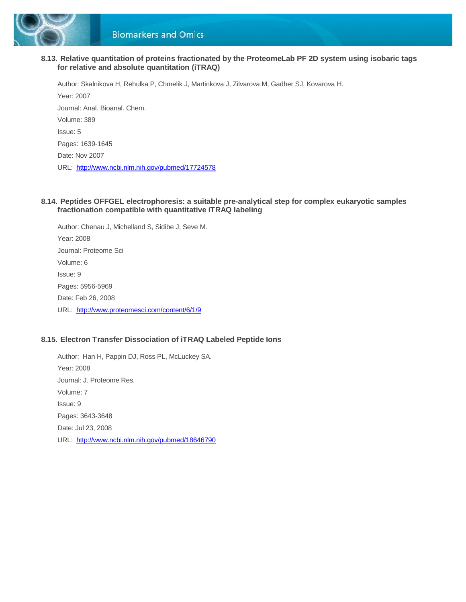

#### **8.13. Relative quantitation of proteins fractionated by the ProteomeLab PF 2D system using isobaric tags for relative and absolute quantitation (iTRAQ)**

Author: Skalnikova H, Rehulka P, Chmelik J, Martinkova J, Zilvarova M, Gadher SJ, Kovarova H. Year: 2007 Journal: Anal. Bioanal. Chem. Volume: 389 Issue: 5 Pages: 1639-1645 Date: Nov 2007 URL:<http://www.ncbi.nlm.nih.gov/pubmed/17724578>

#### **8.14. Peptides OFFGEL electrophoresis: a suitable pre-analytical step for complex eukaryotic samples fractionation compatible with quantitative iTRAQ labeling**

Author: Chenau J, Michelland S, Sidibe J, Seve M. Year: 2008 Journal: Proteome Sci Volume: 6 Issue: 9 Pages: 5956-5969 Date: Feb 26, 2008 URL: <http://www.proteomesci.com/content/6/1/9>

#### **8.15. Electron Transfer Dissociation of iTRAQ Labeled Peptide Ions**

Author: Han H, Pappin DJ, Ross PL, McLuckey SA. Year: 2008 Journal: J. Proteome Res. Volume: 7 Issue: 9 Pages: 3643-3648 Date: Jul 23, 2008 URL: <http://www.ncbi.nlm.nih.gov/pubmed/18646790>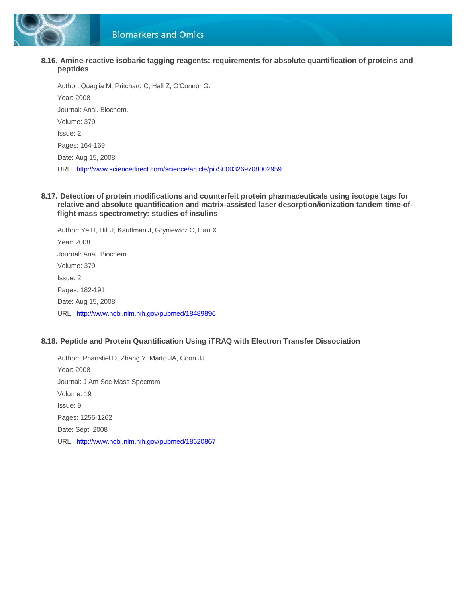

**8.16. Amine-reactive isobaric tagging reagents: requirements for absolute quantification of proteins and peptides**

Author: Quaglia M, Pritchard C, Hall Z, O'Connor G. Year: 2008 Journal: Anal. Biochem. Volume: 379 Issue: 2 Pages: 164-169 Date: Aug 15, 2008 URL:<http://www.sciencedirect.com/science/article/pii/S0003269708002959>

**8.17. Detection of protein modifications and counterfeit protein pharmaceuticals using isotope tags for relative and absolute quantification and matrix-assisted laser desorption/ionization tandem time-offlight mass spectrometry: studies of insulins**

Author: Ye H, Hill J, Kauffman J, Gryniewicz C, Han X. Year: 2008 Journal: Anal. Biochem. Volume: 379 Issue: 2 Pages: 182-191 Date: Aug 15, 2008 URL:<http://www.ncbi.nlm.nih.gov/pubmed/18489896>

#### **8.18. Peptide and Protein Quantification Using iTRAQ with Electron Transfer Dissociation**

Author: Phanstiel D, Zhang Y, Marto JA, Coon JJ. Year: 2008 Journal: J Am Soc Mass Spectrom Volume: 19 Issue: 9 Pages: 1255-1262 Date: Sept, 2008 URL: <http://www.ncbi.nlm.nih.gov/pubmed/18620867>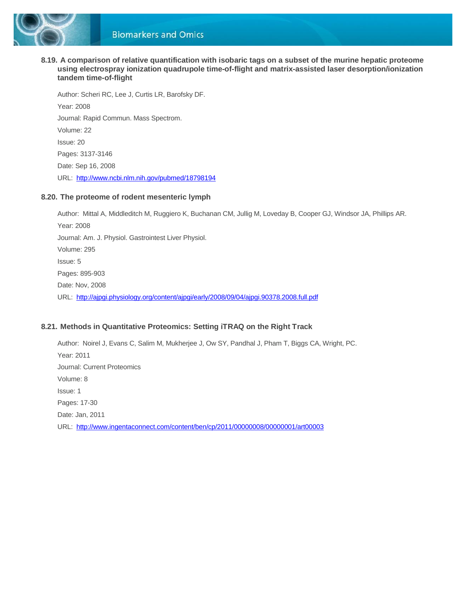

#### **8.19. A comparison of relative quantification with isobaric tags on a subset of the murine hepatic proteome using electrospray ionization quadrupole time-of-flight and matrix-assisted laser desorption/ionization tandem time-of-flight**

Author: Scheri RC, Lee J, Curtis LR, Barofsky DF. Year: 2008 Journal: Rapid Commun. Mass Spectrom. Volume: 22 Issue: 20 Pages: 3137-3146 Date: Sep 16, 2008 URL:<http://www.ncbi.nlm.nih.gov/pubmed/18798194>

#### **8.20. The proteome of rodent mesenteric lymph**

Author: Mittal A, Middleditch M, Ruggiero K, Buchanan CM, Jullig M, Loveday B, Cooper GJ, Windsor JA, Phillips AR. Year: 2008 Journal: Am. J. Physiol. Gastrointest Liver Physiol. Volume: 295 Issue: 5 Pages: 895-903 Date: Nov, 2008 URL:<http://ajpgi.physiology.org/content/ajpgi/early/2008/09/04/ajpgi.90378.2008.full.pdf>

#### **8.21. Methods in Quantitative Proteomics: Setting iTRAQ on the Right Track**

Author: Noirel J, Evans C, Salim M, Mukherjee J, Ow SY, Pandhal J, Pham T, Biggs CA, Wright, PC. Year: 2011 Journal: Current Proteomics Volume: 8 Issue: 1 Pages: 17-30 Date: Jan, 2011 URL:<http://www.ingentaconnect.com/content/ben/cp/2011/00000008/00000001/art00003>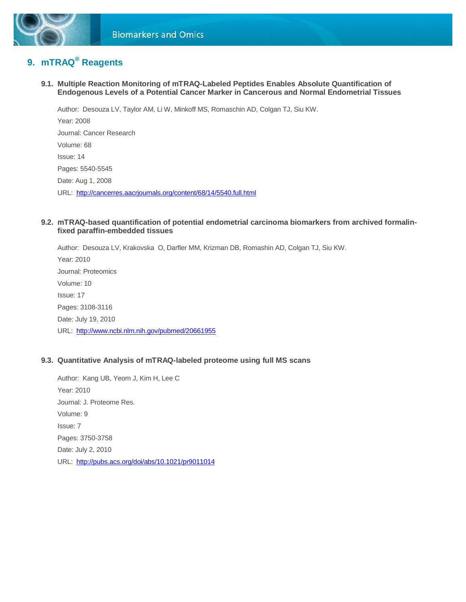

### **9. mTRAQ ® Reagents**

**9.1. Multiple Reaction Monitoring of mTRAQ-Labeled Peptides Enables Absolute Quantification of Endogenous Levels of a Potential Cancer Marker in Cancerous and Normal Endometrial Tissues**

Author: Desouza LV, Taylor AM, Li W, Minkoff MS, Romaschin AD, Colgan TJ, Siu KW. Year: 2008 Journal: Cancer Research Volume: 68 Issue: 14 Pages: 5540-5545 Date: Aug 1, 2008 URL:<http://cancerres.aacrjournals.org/content/68/14/5540.full.html>

#### **9.2. mTRAQ-based quantification of potential endometrial carcinoma biomarkers from archived formalinfixed paraffin-embedded tissues**

Author: Desouza LV, Krakovska O, Darfler MM, Krizman DB, Romashin AD, Colgan TJ, Siu KW. Year: 2010 Journal: Proteomics Volume: 10 Issue: 17 Pages: 3108-3116 Date: July 19, 2010 URL:<http://www.ncbi.nlm.nih.gov/pubmed/20661955>

#### **9.3. Quantitative Analysis of mTRAQ-labeled proteome using full MS scans**

Author: Kang UB, Yeom J, Kim H, Lee C Year: 2010 Journal: J. Proteome Res. Volume: 9 Issue: 7 Pages: 3750-3758 Date: July 2, 2010 URL:<http://pubs.acs.org/doi/abs/10.1021/pr9011014>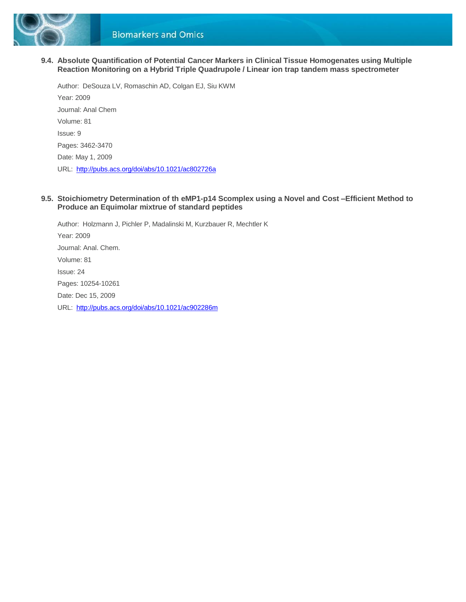

**9.4. Absolute Quantification of Potential Cancer Markers in Clinical Tissue Homogenates using Multiple Reaction Monitoring on a Hybrid Triple Quadrupole / Linear ion trap tandem mass spectrometer**

Author: DeSouza LV, Romaschin AD, Colgan EJ, Siu KWM Year: 2009 Journal: Anal Chem Volume: 81 Issue: 9 Pages: 3462-3470 Date: May 1, 2009 URL:<http://pubs.acs.org/doi/abs/10.1021/ac802726a>

#### **9.5. Stoichiometry Determination of th eMP1-p14 Scomplex using a Novel and Cost –Efficient Method to Produce an Equimolar mixtrue of standard peptides**

Author: Holzmann J, Pichler P, Madalinski M, Kurzbauer R, Mechtler K Year: 2009 Journal: Anal. Chem. Volume: 81 Issue: 24 Pages: 10254-10261 Date: Dec 15, 2009 URL:<http://pubs.acs.org/doi/abs/10.1021/ac902286m>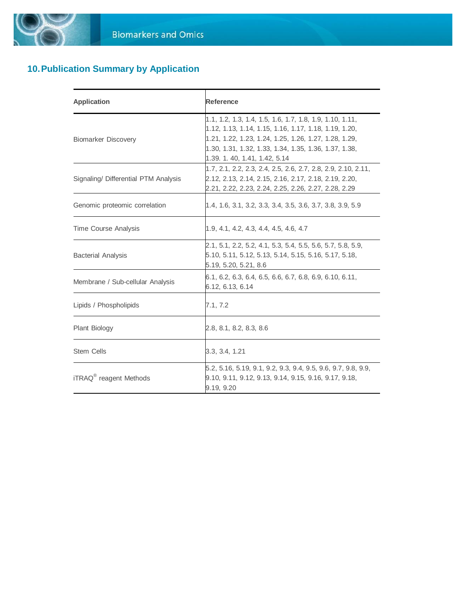

## **10.Publication Summary by Application**

| <b>Application</b>                   | Reference                                                                                                                                                                                                                                                            |
|--------------------------------------|----------------------------------------------------------------------------------------------------------------------------------------------------------------------------------------------------------------------------------------------------------------------|
| <b>Biomarker Discovery</b>           | 1.1, 1.2, 1.3, 1.4, 1.5, 1.6, 1.7, 1.8, 1.9, 1.10, 1.11,<br>1.12, 1.13, 1.14, 1.15, 1.16, 1.17, 1.18, 1.19, 1.20,<br>1.21, 1.22, 1.23, 1.24, 1.25, 1.26, 1.27, 1.28, 1.29,<br>1.30, 1.31, 1.32, 1.33, 1.34, 1.35, 1.36, 1.37, 1.38,<br>1.39. 1. 40, 1.41, 1.42, 5.14 |
| Signaling/ Differential PTM Analysis | 1.7, 2.1, 2.2, 2.3, 2.4, 2.5, 2.6, 2.7, 2.8, 2.9, 2.10, 2.11,<br>2.12, 2.13, 2.14, 2.15, 2.16, 2.17, 2.18, 2.19, 2.20,<br>2.21, 2.22, 2.23, 2.24, 2.25, 2.26, 2.27, 2.28, 2.29                                                                                       |
| Genomic proteomic correlation        | 1.4, 1.6, 3.1, 3.2, 3.3, 3.4, 3.5, 3.6, 3.7, 3.8, 3.9, 5.9                                                                                                                                                                                                           |
| Time Course Analysis                 | 1.9, 4.1, 4.2, 4.3, 4.4, 4.5, 4.6, 4.7                                                                                                                                                                                                                               |
| <b>Bacterial Analysis</b>            | 2.1, 5.1, 2.2, 5.2, 4.1, 5.3, 5.4, 5.5, 5.6, 5.7, 5.8, 5.9,<br>5.10, 5.11, 5.12, 5.13, 5.14, 5.15, 5.16, 5.17, 5.18,<br>5.19, 5.20, 5.21, 8.6                                                                                                                        |
| Membrane / Sub-cellular Analysis     | 6.1, 6.2, 6.3, 6.4, 6.5, 6.6, 6.7, 6.8, 6.9, 6.10, 6.11,<br>6.12, 6.13, 6.14                                                                                                                                                                                         |
| Lipids / Phospholipids               | 7.1, 7.2                                                                                                                                                                                                                                                             |
| Plant Biology                        | 2.8, 8.1, 8.2, 8.3, 8.6                                                                                                                                                                                                                                              |
| <b>Stem Cells</b>                    | 3.3, 3.4, 1.21                                                                                                                                                                                                                                                       |
| iTRAQ <sup>®</sup> reagent Methods   | 5.2, 5.16, 5.19, 9.1, 9.2, 9.3, 9.4, 9.5, 9.6, 9.7, 9.8, 9.9,<br>9.10, 9.11, 9.12, 9.13, 9.14, 9.15, 9.16, 9.17, 9.18,<br>9.19, 9.20                                                                                                                                 |